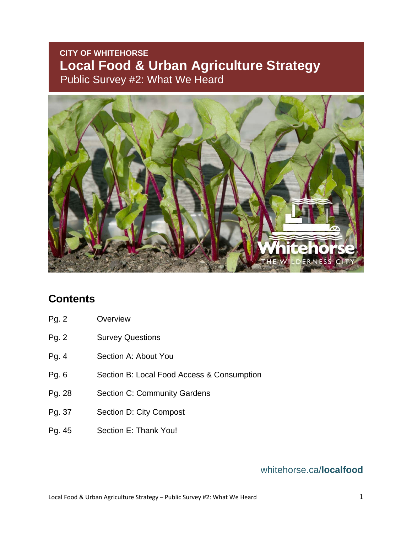## **CITY OF WHITEHORSE Local Food & Urban Agriculture Strategy**  Public Survey #2: What We Heard



## **Contents**

- Pg. 2 Overview
- Pg. 2 Survey Questions
- Pg. 4 Section A: About You
- Pg. 6 Section B: Local Food Access & Consumption
- Pg. 28 Section C: Community Gardens
- Pg. 37 Section D: City Compost
- Pg. 45 Section E: Thank You!

## whitehorse.ca/**localfood**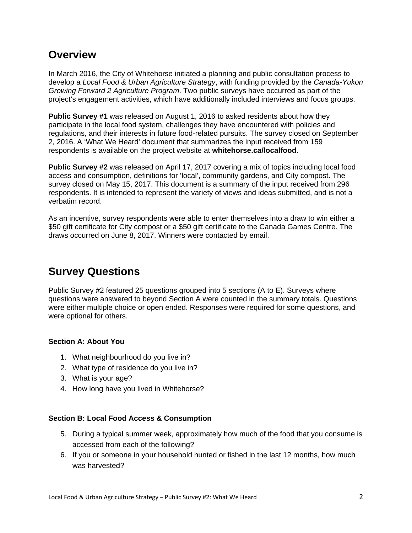## **Overview**

In March 2016, the City of Whitehorse initiated a planning and public consultation process to develop a *Local Food & Urban Agriculture Strategy*, with funding provided by the *Canada-Yukon Growing Forward 2 Agriculture Program*. Two public surveys have occurred as part of the project's engagement activities, which have additionally included interviews and focus groups.

**Public Survey #1** was released on August 1, 2016 to asked residents about how they participate in the local food system, challenges they have encountered with policies and regulations, and their interests in future food-related pursuits. The survey closed on September 2, 2016. A 'What We Heard' document that summarizes the input received from 159 respondents is available on the project website at **whitehorse.ca/localfood**.

**Public Survey #2** was released on April 17, 2017 covering a mix of topics including local food access and consumption, definitions for 'local', community gardens, and City compost. The survey closed on May 15, 2017. This document is a summary of the input received from 296 respondents. It is intended to represent the variety of views and ideas submitted, and is not a verbatim record.

As an incentive, survey respondents were able to enter themselves into a draw to win either a \$50 gift certificate for City compost or a \$50 gift certificate to the Canada Games Centre. The draws occurred on June 8, 2017. Winners were contacted by email.

# **Survey Questions**

Public Survey #2 featured 25 questions grouped into 5 sections (A to E). Surveys where questions were answered to beyond Section A were counted in the summary totals. Questions were either multiple choice or open ended. Responses were required for some questions, and were optional for others.

## **Section A: About You**

- 1. What neighbourhood do you live in?
- 2. What type of residence do you live in?
- 3. What is your age?
- 4. How long have you lived in Whitehorse?

## **Section B: Local Food Access & Consumption**

- 5. During a typical summer week, approximately how much of the food that you consume is accessed from each of the following?
- 6. If you or someone in your household hunted or fished in the last 12 months, how much was harvested?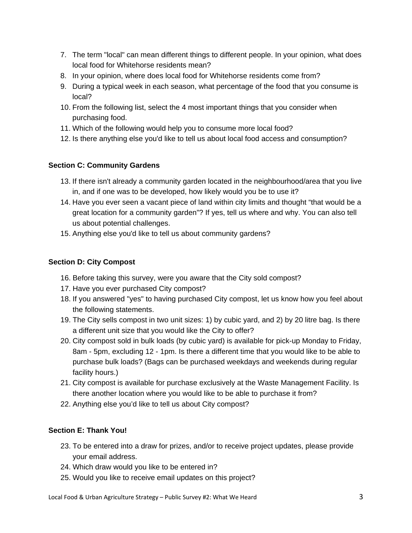- 7. The term "local" can mean different things to different people. In your opinion, what does local food for Whitehorse residents mean?
- 8. In your opinion, where does local food for Whitehorse residents come from?
- 9. During a typical week in each season, what percentage of the food that you consume is local?
- 10. From the following list, select the 4 most important things that you consider when purchasing food.
- 11. Which of the following would help you to consume more local food?
- 12. Is there anything else you'd like to tell us about local food access and consumption?

## **Section C: Community Gardens**

- 13. If there isn't already a community garden located in the neighbourhood/area that you live in, and if one was to be developed, how likely would you be to use it?
- 14. Have you ever seen a vacant piece of land within city limits and thought "that would be a great location for a community garden"? If yes, tell us where and why. You can also tell us about potential challenges.
- 15. Anything else you'd like to tell us about community gardens?

## **Section D: City Compost**

- 16. Before taking this survey, were you aware that the City sold compost?
- 17. Have you ever purchased City compost?
- 18. If you answered "yes" to having purchased City compost, let us know how you feel about the following statements.
- 19. The City sells compost in two unit sizes: 1) by cubic yard, and 2) by 20 litre bag. Is there a different unit size that you would like the City to offer?
- 20. City compost sold in bulk loads (by cubic yard) is available for pick-up Monday to Friday, 8am - 5pm, excluding 12 - 1pm. Is there a different time that you would like to be able to purchase bulk loads? (Bags can be purchased weekdays and weekends during regular facility hours.)
- 21. City compost is available for purchase exclusively at the Waste Management Facility. Is there another location where you would like to be able to purchase it from?
- 22. Anything else you'd like to tell us about City compost?

## **Section E: Thank You!**

- 23. To be entered into a draw for prizes, and/or to receive project updates, please provide your email address.
- 24. Which draw would you like to be entered in?
- 25. Would you like to receive email updates on this project?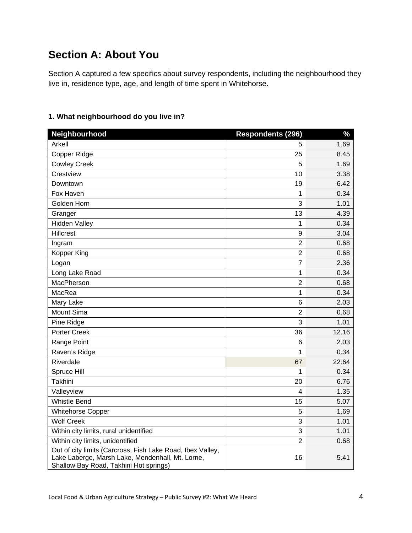# **Section A: About You**

Section A captured a few specifics about survey respondents, including the neighbourhood they live in, residence type, age, and length of time spent in Whitehorse.

| Neighbourhood                                                                                                                                            | <b>Respondents (296)</b> | $\frac{9}{6}$ |
|----------------------------------------------------------------------------------------------------------------------------------------------------------|--------------------------|---------------|
| Arkell                                                                                                                                                   | 5                        | 1.69          |
| Copper Ridge                                                                                                                                             | 25                       | 8.45          |
| <b>Cowley Creek</b>                                                                                                                                      | 5                        | 1.69          |
| Crestview                                                                                                                                                | 10                       | 3.38          |
| Downtown                                                                                                                                                 | 19                       | 6.42          |
| Fox Haven                                                                                                                                                | 1                        | 0.34          |
| Golden Horn                                                                                                                                              | 3                        | 1.01          |
| Granger                                                                                                                                                  | 13                       | 4.39          |
| <b>Hidden Valley</b>                                                                                                                                     | 1                        | 0.34          |
| Hillcrest                                                                                                                                                | 9                        | 3.04          |
| Ingram                                                                                                                                                   | $\overline{2}$           | 0.68          |
| Kopper King                                                                                                                                              | $\overline{2}$           | 0.68          |
| Logan                                                                                                                                                    | $\overline{7}$           | 2.36          |
| Long Lake Road                                                                                                                                           | 1                        | 0.34          |
| MacPherson                                                                                                                                               | $\overline{2}$           | 0.68          |
| MacRea                                                                                                                                                   | 1                        | 0.34          |
| Mary Lake                                                                                                                                                | 6                        | 2.03          |
| Mount Sima                                                                                                                                               | $\overline{2}$           | 0.68          |
| Pine Ridge                                                                                                                                               | 3                        | 1.01          |
| Porter Creek                                                                                                                                             | 36                       | 12.16         |
| Range Point                                                                                                                                              | 6                        | 2.03          |
| Raven's Ridge                                                                                                                                            | 1                        | 0.34          |
| Riverdale                                                                                                                                                | 67                       | 22.64         |
| Spruce Hill                                                                                                                                              | 1                        | 0.34          |
| <b>Takhini</b>                                                                                                                                           | 20                       | 6.76          |
| Valleyview                                                                                                                                               | 4                        | 1.35          |
| <b>Whistle Bend</b>                                                                                                                                      | 15                       | 5.07          |
| <b>Whitehorse Copper</b>                                                                                                                                 | 5                        | 1.69          |
| <b>Wolf Creek</b>                                                                                                                                        | 3                        | 1.01          |
| Within city limits, rural unidentified                                                                                                                   | 3                        | 1.01          |
| Within city limits, unidentified                                                                                                                         | $\overline{2}$           | 0.68          |
| Out of city limits (Carcross, Fish Lake Road, Ibex Valley,<br>Lake Laberge, Marsh Lake, Mendenhall, Mt. Lorne,<br>Shallow Bay Road, Takhini Hot springs) | 16                       | 5.41          |

## **1. What neighbourhood do you live in?**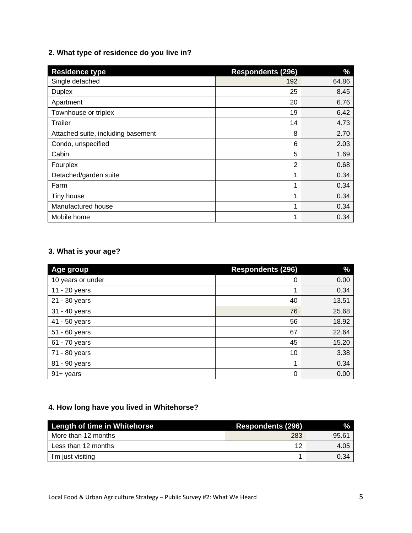## **2. What type of residence do you live in?**

| <b>Residence type</b>              | <b>Respondents (296)</b> | $\%$  |
|------------------------------------|--------------------------|-------|
| Single detached                    | 192                      | 64.86 |
| <b>Duplex</b>                      | 25                       | 8.45  |
| Apartment                          | 20                       | 6.76  |
| Townhouse or triplex               | 19                       | 6.42  |
| Trailer                            | 14                       | 4.73  |
| Attached suite, including basement | 8                        | 2.70  |
| Condo, unspecified                 | 6                        | 2.03  |
| Cabin                              | 5                        | 1.69  |
| Fourplex                           | $\overline{2}$           | 0.68  |
| Detached/garden suite              | 1                        | 0.34  |
| Farm                               |                          | 0.34  |
| Tiny house                         | ٠                        | 0.34  |
| Manufactured house                 | 1                        | 0.34  |
| Mobile home                        | 1                        | 0.34  |

## **3. What is your age?**

| Age group         | <b>Respondents (296)</b> | $\frac{0}{0}$ |
|-------------------|--------------------------|---------------|
| 10 years or under | 0                        | 0.00          |
| 11 - 20 years     | 1                        | 0.34          |
| 21 - 30 years     | 40                       | 13.51         |
| 31 - 40 years     | 76                       | 25.68         |
| 41 - 50 years     | 56                       | 18.92         |
| 51 - 60 years     | 67                       | 22.64         |
| 61 - 70 years     | 45                       | 15.20         |
| 71 - 80 years     | 10                       | 3.38          |
| 81 - 90 years     | 1                        | 0.34          |
| 91+ years         | 0                        | 0.00          |

## **4. How long have you lived in Whitehorse?**

| <b>Length of time in Whitehorse</b> | <b>Respondents (296)</b> | $\mathcal{A}$ |
|-------------------------------------|--------------------------|---------------|
| More than 12 months                 | 283                      | 95.61         |
| Less than 12 months                 | 12                       | 4.05          |
| I'm just visiting                   |                          | 0.34          |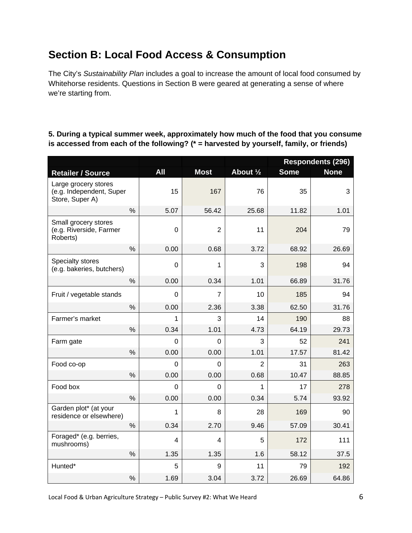# **Section B: Local Food Access & Consumption**

The City's *Sustainability Plan* includes a goal to increase the amount of local food consumed by Whitehorse residents. Questions in Section B were geared at generating a sense of where we're starting from.

## **5. During a typical summer week, approximately how much of the food that you consume is accessed from each of the following? (\* = harvested by yourself, family, or friends)**

|                                                                     |               |                |                |           | <b>Respondents (296)</b> |             |
|---------------------------------------------------------------------|---------------|----------------|----------------|-----------|--------------------------|-------------|
| <b>Retailer / Source</b>                                            |               | <b>All</b>     | <b>Most</b>    | About 1/2 | <b>Some</b>              | <b>None</b> |
| Large grocery stores<br>(e.g. Independent, Super<br>Store, Super A) |               | 15             | 167            | 76        | 35                       | 3           |
|                                                                     | $\%$          | 5.07           | 56.42          | 25.68     | 11.82                    | 1.01        |
| Small grocery stores<br>(e.g. Riverside, Farmer<br>Roberts)         |               | $\mathbf 0$    | $\overline{2}$ | 11        | 204                      | 79          |
|                                                                     | $\%$          | 0.00           | 0.68           | 3.72      | 68.92                    | 26.69       |
| Specialty stores<br>(e.g. bakeries, butchers)                       |               | 0              | 1              | 3         | 198                      | 94          |
|                                                                     | $\%$          | 0.00           | 0.34           | 1.01      | 66.89                    | 31.76       |
| Fruit / vegetable stands                                            |               | 0              | 7              | 10        | 185                      | 94          |
|                                                                     | $\%$          | 0.00           | 2.36           | 3.38      | 62.50                    | 31.76       |
| Farmer's market                                                     |               | 1              | 3              | 14        | 190                      | 88          |
|                                                                     | $\%$          | 0.34           | 1.01           | 4.73      | 64.19                    | 29.73       |
| Farm gate                                                           |               | $\overline{0}$ | 0              | 3         | 52                       | 241         |
|                                                                     | $\%$          | 0.00           | 0.00           | 1.01      | 17.57                    | 81.42       |
| Food co-op                                                          |               | 0              | 0              | 2         | 31                       | 263         |
|                                                                     | $\frac{0}{0}$ | 0.00           | 0.00           | 0.68      | 10.47                    | 88.85       |
| Food box                                                            |               | 0              | 0              | 1         | 17                       | 278         |
|                                                                     | $\frac{0}{0}$ | 0.00           | 0.00           | 0.34      | 5.74                     | 93.92       |
| Garden plot* (at your<br>residence or elsewhere)                    |               | 1              | 8              | 28        | 169                      | 90          |
|                                                                     | %             | 0.34           | 2.70           | 9.46      | 57.09                    | 30.41       |
| Foraged* (e.g. berries,<br>mushrooms)                               |               | 4              | 4              | 5         | 172                      | 111         |
|                                                                     | $\%$          | 1.35           | 1.35           | 1.6       | 58.12                    | 37.5        |
| Hunted*                                                             |               | 5              | 9              | 11        | 79                       | 192         |
|                                                                     | $\%$          | 1.69           | 3.04           | 3.72      | 26.69                    | 64.86       |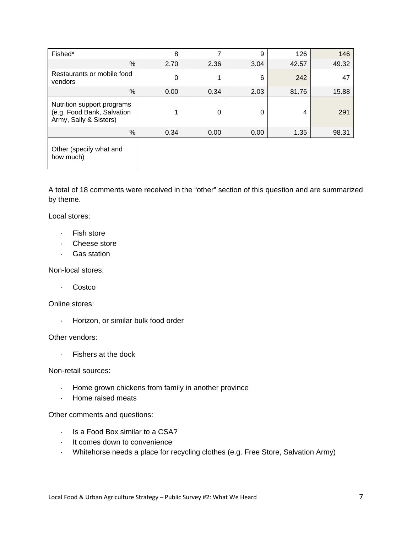| Fished*                                                                            | 8    |      | 9    | 126   | 146   |
|------------------------------------------------------------------------------------|------|------|------|-------|-------|
| $\%$                                                                               | 2.70 | 2.36 | 3.04 | 42.57 | 49.32 |
| Restaurants or mobile food<br>vendors                                              | ∩    |      | 6    | 242   | 47    |
| %                                                                                  | 0.00 | 0.34 | 2.03 | 81.76 | 15.88 |
| Nutrition support programs<br>(e.g. Food Bank, Salvation<br>Army, Sally & Sisters) |      | 0    | 0    | 4     | 291   |
| %                                                                                  | 0.34 | 0.00 | 0.00 | 1.35  | 98.31 |
|                                                                                    |      |      |      |       |       |

Other (specify what and how much)

A total of 18 comments were received in the "other" section of this question and are summarized by theme.

Local stores:

- Fish store
- Cheese store
- Gas station

Non-local stores:

. Costco

Online stores:

Horizon, or similar bulk food order

Other vendors:

Fishers at the dock

Non-retail sources:

- Home grown chickens from family in another province
- Home raised meats

Other comments and questions:

- $\cdot$  Is a Food Box similar to a CSA?
- It comes down to convenience
- Whitehorse needs a place for recycling clothes (e.g. Free Store, Salvation Army)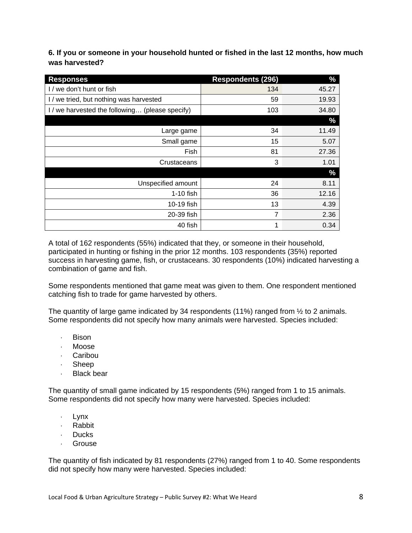**6. If you or someone in your household hunted or fished in the last 12 months, how much was harvested?** 

| <b>Responses</b>                                | <b>Respondents (296)</b> | $\%$  |
|-------------------------------------------------|--------------------------|-------|
| I / we don't hunt or fish                       | 134                      | 45.27 |
| I / we tried, but nothing was harvested         | 59                       | 19.93 |
| I / we harvested the following (please specify) | 103                      | 34.80 |
|                                                 |                          | $\%$  |
| Large game                                      | 34                       | 11.49 |
| Small game                                      | 15                       | 5.07  |
| Fish                                            | 81                       | 27.36 |
| Crustaceans                                     | 3                        | 1.01  |
|                                                 |                          | $\%$  |
| Unspecified amount                              | 24                       | 8.11  |
| 1-10 fish                                       | 36                       | 12.16 |
| 10-19 fish                                      | 13                       | 4.39  |
| 20-39 fish                                      | 7                        | 2.36  |
| 40 fish                                         | 1                        | 0.34  |

A total of 162 respondents (55%) indicated that they, or someone in their household, participated in hunting or fishing in the prior 12 months. 103 respondents (35%) reported success in harvesting game, fish, or crustaceans. 30 respondents (10%) indicated harvesting a combination of game and fish.

Some respondents mentioned that game meat was given to them. One respondent mentioned catching fish to trade for game harvested by others.

The quantity of large game indicated by 34 respondents (11%) ranged from  $\frac{1}{2}$  to 2 animals. Some respondents did not specify how many animals were harvested. Species included:

- Bison
- Moose
- Caribou
- Sheep
- . Black bear

The quantity of small game indicated by 15 respondents (5%) ranged from 1 to 15 animals. Some respondents did not specify how many were harvested. Species included:

- . Lynx
- . Rabbit
- . Ducks
- Grouse

The quantity of fish indicated by 81 respondents (27%) ranged from 1 to 40. Some respondents did not specify how many were harvested. Species included: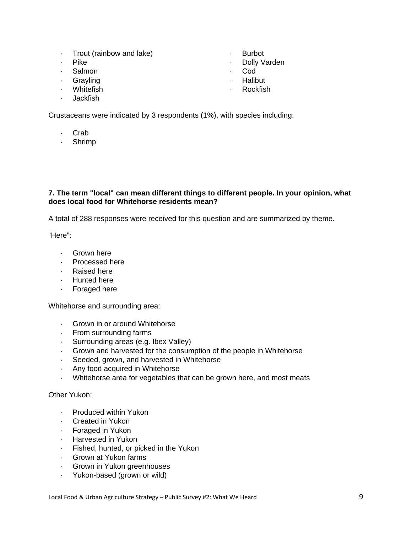- Trout (rainbow and lake)
- . Pike
- . Salmon
- Grayling
- Whitefish
- Jackfish

Crustaceans were indicated by 3 respondents (1%), with species including:

- . Crab
- Shrimp

#### **7. The term "local" can mean different things to different people. In your opinion, what does local food for Whitehorse residents mean?**

A total of 288 responses were received for this question and are summarized by theme.

"Here":

- Grown here
- Processed here
- Raised here
- **Hunted here**
- Foraged here

Whitehorse and surrounding area:

- Grown in or around Whitehorse
- $\cdot$  From surrounding farms
- Surrounding areas (e.g. Ibex Valley)
- Grown and harvested for the consumption of the people in Whitehorse
- Seeded, grown, and harvested in Whitehorse
- Any food acquired in Whitehorse
- Whitehorse area for vegetables that can be grown here, and most meats

Other Yukon:

- Produced within Yukon
- Created in Yukon
- Foraged in Yukon
- Harvested in Yukon
- Fished, hunted, or picked in the Yukon
- Grown at Yukon farms
- Grown in Yukon greenhouses
- Yukon-based (grown or wild)
- Burbot
- Dolly Varden
- **Cod**
- . Halibut
	- Rockfish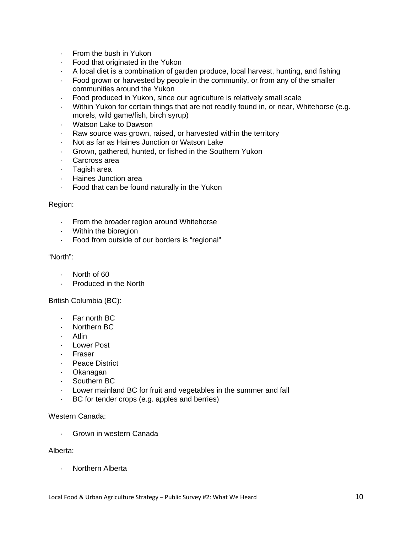- $\cdot$  From the bush in Yukon
- Food that originated in the Yukon
- A local diet is a combination of garden produce, local harvest, hunting, and fishing
- Food grown or harvested by people in the community, or from any of the smaller communities around the Yukon
- Food produced in Yukon, since our agriculture is relatively small scale
- Within Yukon for certain things that are not readily found in, or near, Whitehorse (e.g. morels, wild game/fish, birch syrup)
- Watson Lake to Dawson
- Raw source was grown, raised, or harvested within the territory
- Not as far as Haines Junction or Watson Lake
- Grown, gathered, hunted, or fished in the Southern Yukon
- Carcross area
- Tagish area
- Haines Junction area
- Food that can be found naturally in the Yukon

#### Region:

- From the broader region around Whitehorse
- Within the bioregion
- Food from outside of our borders is "regional"

#### "North":

- North of 60
- Produced in the North

#### British Columbia (BC):

- Far north BC
- Northern BC
- . Atlin
- Lower Post
- Fraser
- . Peace District
- Okanagan
- Southern BC
- Lower mainland BC for fruit and vegetables in the summer and fall
- BC for tender crops (e.g. apples and berries)

#### Western Canada:

Grown in western Canada

#### Alberta:

Northern Alberta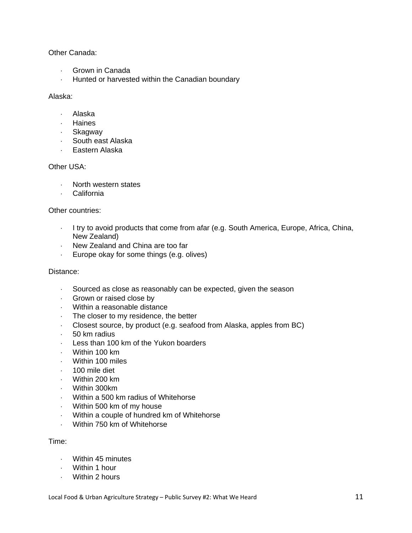Other Canada:

- Grown in Canada
- Hunted or harvested within the Canadian boundary

#### Alaska:

- Alaska
- . Haines
- . Skagway
- South east Alaska
- Eastern Alaska

## Other USA:

- North western states
- California

#### Other countries:

- I try to avoid products that come from afar (e.g. South America, Europe, Africa, China, New Zealand)
- New Zealand and China are too far
- Europe okay for some things (e.g. olives)

#### Distance:

- Sourced as close as reasonably can be expected, given the season
- Grown or raised close by
- Within a reasonable distance
- The closer to my residence, the better
- Closest source, by product (e.g. seafood from Alaska, apples from BC)
- $-50$  km radius
- Less than 100 km of the Yukon boarders
- Within 100 km
- Within 100 miles
- 100 mile diet
- Within 200 km
- Within 300km
- Within a 500 km radius of Whitehorse
- Within 500 km of my house
- Within a couple of hundred km of Whitehorse
- Within 750 km of Whitehorse

#### Time:

- Within 45 minutes
- Within 1 hour
- Within 2 hours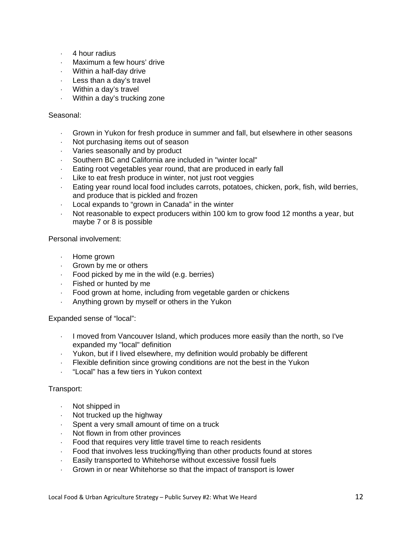- 4 hour radius
- Maximum a few hours' drive
- Within a half-day drive
- $\cdot$  Less than a day's travel
- Within a day's travel
- Within a day's trucking zone

#### Seasonal:

- Grown in Yukon for fresh produce in summer and fall, but elsewhere in other seasons
- Not purchasing items out of season
- Varies seasonally and by product
- Southern BC and California are included in "winter local"
- Eating root vegetables year round, that are produced in early fall
- Like to eat fresh produce in winter, not just root veggies
- Eating year round local food includes carrots, potatoes, chicken, pork, fish, wild berries, and produce that is pickled and frozen
- Local expands to "grown in Canada" in the winter
- Not reasonable to expect producers within 100 km to grow food 12 months a year, but maybe 7 or 8 is possible

Personal involvement:

- Home grown
- Grown by me or others
- $\cdot$  Food picked by me in the wild (e.g. berries)
- $\cdot$  Fished or hunted by me
- Food grown at home, including from vegetable garden or chickens
- Anything grown by myself or others in the Yukon

Expanded sense of "local":

- $\cdot$  I moved from Vancouver Island, which produces more easily than the north, so I've expanded my "local" definition
- Yukon, but if I lived elsewhere, my definition would probably be different
- Flexible definition since growing conditions are not the best in the Yukon
- "Local" has a few tiers in Yukon context

#### Transport:

- Not shipped in
- Not trucked up the highway
- $\cdot$  Spent a very small amount of time on a truck
- Not flown in from other provinces
- Food that requires very little travel time to reach residents
- Food that involves less trucking/flying than other products found at stores
- Easily transported to Whitehorse without excessive fossil fuels
- Grown in or near Whitehorse so that the impact of transport is lower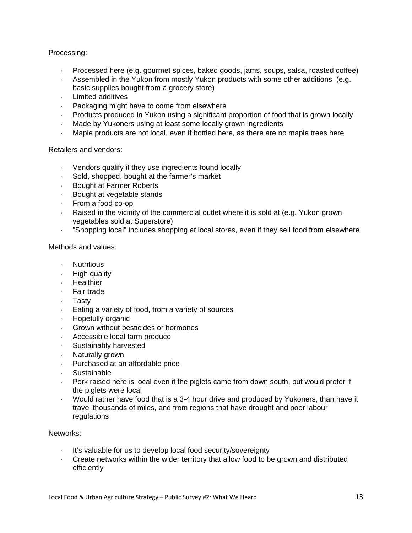Processing:

- Processed here (e.g. gourmet spices, baked goods, jams, soups, salsa, roasted coffee)
- Assembled in the Yukon from mostly Yukon products with some other additions (e.g. basic supplies bought from a grocery store)
- Limited additives
- Packaging might have to come from elsewhere
- Products produced in Yukon using a significant proportion of food that is grown locally
- Made by Yukoners using at least some locally grown ingredients
- Maple products are not local, even if bottled here, as there are no maple trees here

Retailers and vendors:

- Vendors qualify if they use ingredients found locally
- Sold, shopped, bought at the farmer's market
- Bought at Farmer Roberts
- Bought at vegetable stands
- From a food co-op
- Raised in the vicinity of the commercial outlet where it is sold at (e.g. Yukon grown vegetables sold at Superstore)
- "Shopping local" includes shopping at local stores, even if they sell food from elsewhere

Methods and values:

- . Nutritious
- $\cdot$  High quality
- . Healthier
- . Fair trade
- Tasty
- Eating a variety of food, from a variety of sources
- **Hopefully organic**
- Grown without pesticides or hormones
- Accessible local farm produce
- Sustainably harvested
- Naturally grown
- Purchased at an affordable price
- **Sustainable**
- Pork raised here is local even if the piglets came from down south, but would prefer if the piglets were local
- Would rather have food that is a 3-4 hour drive and produced by Yukoners, than have it travel thousands of miles, and from regions that have drought and poor labour regulations

Networks:

- It's valuable for us to develop local food security/sovereignty
- Create networks within the wider territory that allow food to be grown and distributed efficiently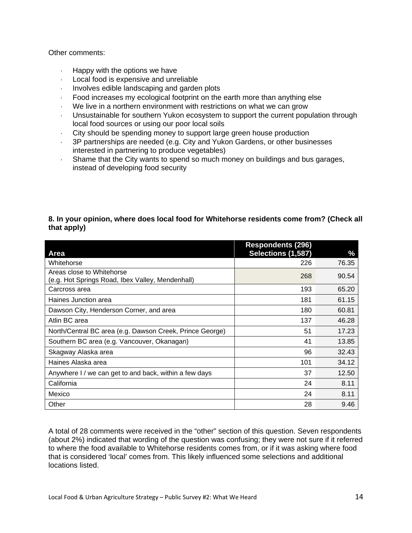#### Other comments:

- Happy with the options we have
- Local food is expensive and unreliable
- Involves edible landscaping and garden plots
- Food increases my ecological footprint on the earth more than anything else
- We live in a northern environment with restrictions on what we can grow
- Unsustainable for southern Yukon ecosystem to support the current population through local food sources or using our poor local soils
- City should be spending money to support large green house production
- 3P partnerships are needed (e.g. City and Yukon Gardens, or other businesses interested in partnering to produce vegetables)
- Shame that the City wants to spend so much money on buildings and bus garages, instead of developing food security

## **8. In your opinion, where does local food for Whitehorse residents come from? (Check all that apply)**

|                                                          | <b>Respondents (296)</b> |       |
|----------------------------------------------------------|--------------------------|-------|
| Area                                                     | Selections (1,587)       | %     |
| Whitehorse                                               | 226                      | 76.35 |
| Areas close to Whitehorse                                | 268                      | 90.54 |
| (e.g. Hot Springs Road, Ibex Valley, Mendenhall)         |                          |       |
| Carcross area                                            | 193                      | 65.20 |
| Haines Junction area                                     | 181                      | 61.15 |
| Dawson City, Henderson Corner, and area                  | 180                      | 60.81 |
| Atlin BC area                                            | 137                      | 46.28 |
| North/Central BC area (e.g. Dawson Creek, Prince George) | 51                       | 17.23 |
| Southern BC area (e.g. Vancouver, Okanagan)              | 41                       | 13.85 |
| Skagway Alaska area                                      | 96                       | 32.43 |
| Haines Alaska area                                       | 101                      | 34.12 |
| Anywhere I / we can get to and back, within a few days   | 37                       | 12.50 |
| California                                               | 24                       | 8.11  |
| Mexico                                                   | 24                       | 8.11  |
| Other                                                    | 28                       | 9.46  |

A total of 28 comments were received in the "other" section of this question. Seven respondents (about 2%) indicated that wording of the question was confusing; they were not sure if it referred to where the food available to Whitehorse residents comes from, or if it was asking where food that is considered 'local' comes from. This likely influenced some selections and additional locations listed.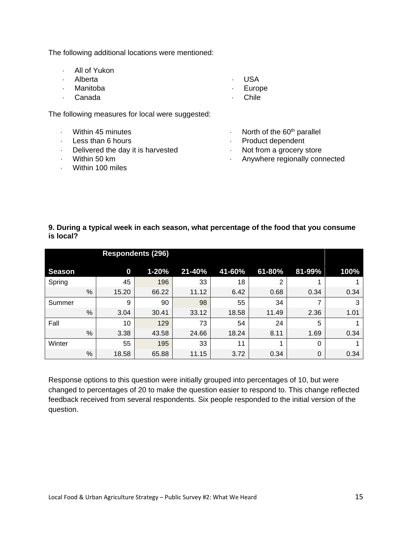The following additional locations were mentioned:

| . All of Yukon |                |
|----------------|----------------|
| . Alberta      | . USA          |
| · Manitoba     | $\cdot$ Europe |
| · Canada       | · Chile        |

The following measures for local were suggested:

- Within 45 minutes
- $-Less$  than 6 hours
- Delivered the day it is harvested
- Within 50 km
- Within 100 miles
- $\cdot$  North of the 60<sup>th</sup> parallel
- Product dependent
- Not from a grocery store
- Anywhere regionally connected

#### **9. During a typical week in each season, what percentage of the food that you consume is local?**

|               |   |          | <b>Respondents (296)</b> |        |        |        |        |      |
|---------------|---|----------|--------------------------|--------|--------|--------|--------|------|
| <b>Season</b> |   | $\bf{0}$ | $1 - 20%$                | 21-40% | 41-60% | 61-80% | 81-99% | 100% |
| Spring        |   | 45       | 196                      | 33     | 18     | 2      | 1      |      |
|               | % | 15.20    | 66.22                    | 11.12  | 6.42   | 0.68   | 0.34   | 0.34 |
| Summer        |   | 9        | 90                       | 98     | 55     | 34     | 7      | 3    |
|               | % | 3.04     | 30.41                    | 33.12  | 18.58  | 11.49  | 2.36   | 1.01 |
| Fall          |   | 10       | 129                      | 73     | 54     | 24     | 5      |      |
|               | % | 3.38     | 43.58                    | 24.66  | 18.24  | 8.11   | 1.69   | 0.34 |
| Winter        |   | 55       | 195                      | 33     | 11     |        | 0      |      |
|               | % | 18.58    | 65.88                    | 11.15  | 3.72   | 0.34   | 0      | 0.34 |

Response options to this question were initially grouped into percentages of 10, but were changed to percentages of 20 to make the question easier to respond to. This change reflected feedback received from several respondents. Six people responded to the initial version of the question.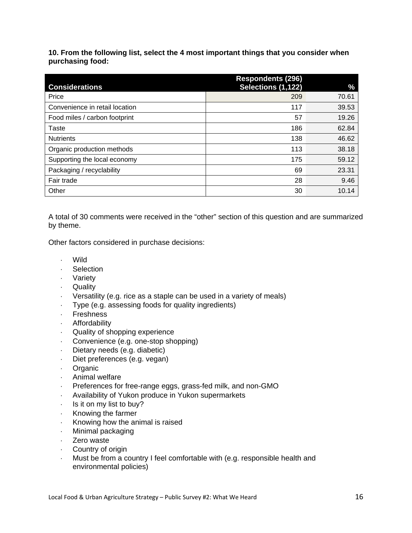**10. From the following list, select the 4 most important things that you consider when purchasing food:** 

|                                | <b>Respondents (296)</b> |       |
|--------------------------------|--------------------------|-------|
| <b>Considerations</b>          | Selections (1,122)       | $\%$  |
| Price                          | 209                      | 70.61 |
| Convenience in retail location | 117                      | 39.53 |
| Food miles / carbon footprint  | 57                       | 19.26 |
| Taste                          | 186                      | 62.84 |
| <b>Nutrients</b>               | 138                      | 46.62 |
| Organic production methods     | 113                      | 38.18 |
| Supporting the local economy   | 175                      | 59.12 |
| Packaging / recyclability      | 69                       | 23.31 |
| Fair trade                     | 28                       | 9.46  |
| Other                          | 30                       | 10.14 |

A total of 30 comments were received in the "other" section of this question and are summarized by theme.

Other factors considered in purchase decisions:

- Wild
- Selection
- Variety
- Quality
- Versatility (e.g. rice as a staple can be used in a variety of meals)
- Type (e.g. assessing foods for quality ingredients)
- Freshness
- Affordability
- Quality of shopping experience
- Convenience (e.g. one-stop shopping)
- Dietary needs (e.g. diabetic)
- Diet preferences (e.g. vegan)
- Organic
- Animal welfare
- Preferences for free-range eggs, grass-fed milk, and non-GMO
- Availability of Yukon produce in Yukon supermarkets
- $\cdot$  Is it on my list to buy?
- $\cdot$  Knowing the farmer
- Knowing how the animal is raised
- Minimal packaging
- · Zero waste
- Country of origin
- Must be from a country I feel comfortable with (e.g. responsible health and environmental policies)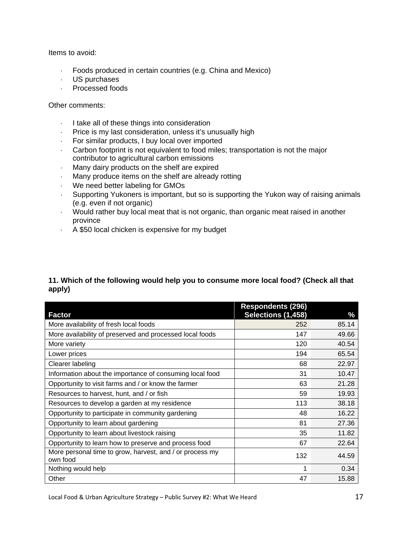Items to avoid:

- Foods produced in certain countries (e.g. China and Mexico)
- US purchases
- Processed foods

#### Other comments:

- I take all of these things into consideration
- Price is my last consideration, unless it's unusually high
- For similar products, I buy local over imported
- Carbon footprint is not equivalent to food miles; transportation is not the major contributor to agricultural carbon emissions
- Many dairy products on the shelf are expired
- Many produce items on the shelf are already rotting
- We need better labeling for GMOs
- Supporting Yukoners is important, but so is supporting the Yukon way of raising animals (e.g. even if not organic)
- Would rather buy local meat that is not organic, than organic meat raised in another province
- A \$50 local chicken is expensive for my budget

## **11. Which of the following would help you to consume more local food? (Check all that apply)**

|                                                                      | <b>Respondents (296)</b> |       |
|----------------------------------------------------------------------|--------------------------|-------|
| <b>Factor</b>                                                        | Selections (1,458)       | %     |
| More availability of fresh local foods                               | 252                      | 85.14 |
| More availability of preserved and processed local foods             | 147                      | 49.66 |
| More variety                                                         | 120                      | 40.54 |
| Lower prices                                                         | 194                      | 65.54 |
| Clearer labeling                                                     | 68                       | 22.97 |
| Information about the importance of consuming local food             | 31                       | 10.47 |
| Opportunity to visit farms and / or know the farmer                  | 63                       | 21.28 |
| Resources to harvest, hunt, and / or fish                            | 59                       | 19.93 |
| Resources to develop a garden at my residence                        | 113                      | 38.18 |
| Opportunity to participate in community gardening                    | 48                       | 16.22 |
| Opportunity to learn about gardening                                 | 81                       | 27.36 |
| Opportunity to learn about livestock raising                         | 35                       | 11.82 |
| Opportunity to learn how to preserve and process food                | 67                       | 22.64 |
| More personal time to grow, harvest, and / or process my<br>own food | 132                      | 44.59 |
| Nothing would help                                                   | 1                        | 0.34  |
| Other                                                                | 47                       | 15.88 |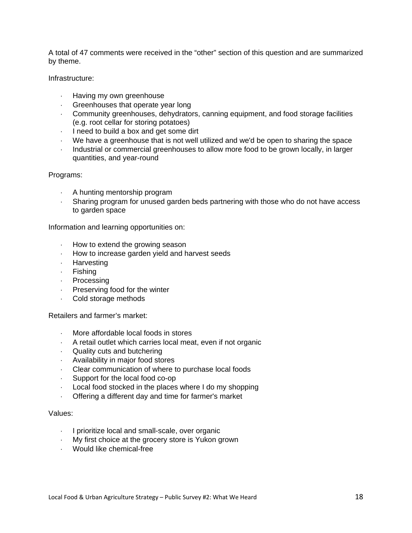A total of 47 comments were received in the "other" section of this question and are summarized by theme.

Infrastructure:

- Having my own greenhouse
- Greenhouses that operate year long
- Community greenhouses, dehydrators, canning equipment, and food storage facilities (e.g. root cellar for storing potatoes)
- $\cdot$  I need to build a box and get some dirt
- We have a greenhouse that is not well utilized and we'd be open to sharing the space
- Industrial or commercial greenhouses to allow more food to be grown locally, in larger quantities, and year-round

Programs:

- A hunting mentorship program
- Sharing program for unused garden beds partnering with those who do not have access to garden space

Information and learning opportunities on:

- $\cdot$  How to extend the growing season
- How to increase garden yield and harvest seeds
- . Harvesting
- Fishing
- . Processing
- Preserving food for the winter
- Cold storage methods

Retailers and farmer's market:

- More affordable local foods in stores
- $\cdot$  A retail outlet which carries local meat, even if not organic
- Quality cuts and butchering
- Availability in major food stores
- Clear communication of where to purchase local foods
- Support for the local food co-op
- Local food stocked in the places where I do my shopping
- Offering a different day and time for farmer's market

#### Values:

- $\cdot$  I prioritize local and small-scale, over organic
- My first choice at the grocery store is Yukon grown
- Would like chemical-free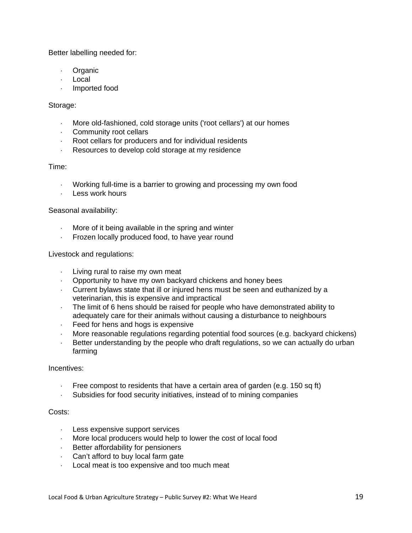Better labelling needed for:

- **Organic**
- Local
- Imported food

#### Storage:

- More old-fashioned, cold storage units ('root cellars') at our homes
- Community root cellars
- Root cellars for producers and for individual residents
- Resources to develop cold storage at my residence

#### Time:

- Working full-time is a barrier to growing and processing my own food
- Less work hours

#### Seasonal availability:

- More of it being available in the spring and winter
- Frozen locally produced food, to have year round

#### Livestock and regulations:

- $\cdot$  Living rural to raise my own meat
- Opportunity to have my own backyard chickens and honey bees
- Current bylaws state that ill or injured hens must be seen and euthanized by a veterinarian, this is expensive and impractical
- The limit of 6 hens should be raised for people who have demonstrated ability to adequately care for their animals without causing a disturbance to neighbours
- Feed for hens and hogs is expensive
- More reasonable regulations regarding potential food sources (e.g. backyard chickens)
- Better understanding by the people who draft regulations, so we can actually do urban farming

#### Incentives:

- Free compost to residents that have a certain area of garden (e.g. 150 sq ft)
- Subsidies for food security initiatives, instead of to mining companies

## Costs:

- Less expensive support services
- More local producers would help to lower the cost of local food
- Better affordability for pensioners
- Can't afford to buy local farm gate
- Local meat is too expensive and too much meat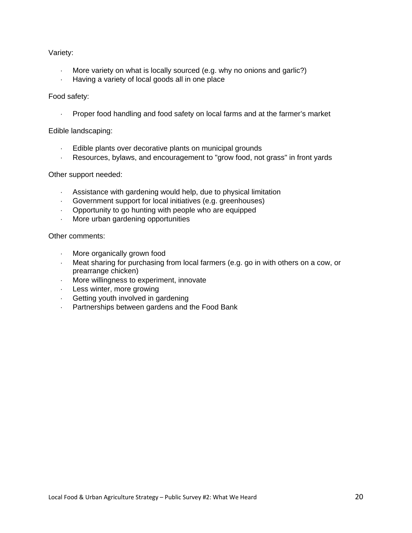#### Variety:

- More variety on what is locally sourced (e.g. why no onions and garlic?)
- Having a variety of local goods all in one place

#### Food safety:

Proper food handling and food safety on local farms and at the farmer's market

#### Edible landscaping:

- Edible plants over decorative plants on municipal grounds
- Resources, bylaws, and encouragement to "grow food, not grass" in front yards

#### Other support needed:

- Assistance with gardening would help, due to physical limitation
- Government support for local initiatives (e.g. greenhouses)
- Opportunity to go hunting with people who are equipped
- More urban gardening opportunities

#### Other comments:

- More organically grown food
- Meat sharing for purchasing from local farmers (e.g. go in with others on a cow, or prearrange chicken)
- More willingness to experiment, innovate
- Less winter, more growing
- Getting youth involved in gardening
- Partnerships between gardens and the Food Bank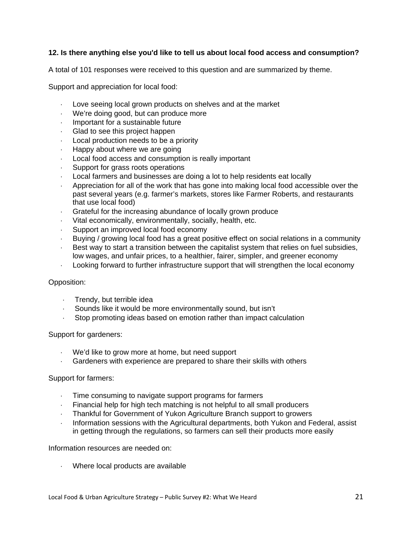## **12. Is there anything else you'd like to tell us about local food access and consumption?**

A total of 101 responses were received to this question and are summarized by theme.

Support and appreciation for local food:

- Love seeing local grown products on shelves and at the market
- We're doing good, but can produce more
- Important for a sustainable future
- Glad to see this project happen
- Local production needs to be a priority
- Happy about where we are going
- Local food access and consumption is really important
- Support for grass roots operations
- Local farmers and businesses are doing a lot to help residents eat locally
- Appreciation for all of the work that has gone into making local food accessible over the past several years (e.g. farmer's markets, stores like Farmer Roberts, and restaurants that use local food)
- Grateful for the increasing abundance of locally grown produce
- Vital economically, environmentally, socially, health, etc.
- Support an improved local food economy
- Buying / growing local food has a great positive effect on social relations in a community
- Best way to start a transition between the capitalist system that relies on fuel subsidies, low wages, and unfair prices, to a healthier, fairer, simpler, and greener economy
- Looking forward to further infrastructure support that will strengthen the local economy

#### Opposition:

- Trendy, but terrible idea
- Sounds like it would be more environmentally sound, but isn't
- Stop promoting ideas based on emotion rather than impact calculation

#### Support for gardeners:

- We'd like to grow more at home, but need support
- Gardeners with experience are prepared to share their skills with others

#### Support for farmers:

- Time consuming to navigate support programs for farmers
- Financial help for high tech matching is not helpful to all small producers
- Thankful for Government of Yukon Agriculture Branch support to growers
- Information sessions with the Agricultural departments, both Yukon and Federal, assist in getting through the regulations, so farmers can sell their products more easily

#### Information resources are needed on:

Where local products are available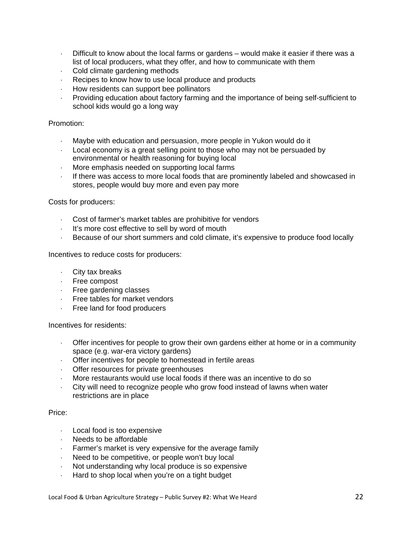- $\cdot$  Difficult to know about the local farms or gardens would make it easier if there was a list of local producers, what they offer, and how to communicate with them
- Cold climate gardening methods
- Recipes to know how to use local produce and products
- How residents can support bee pollinators
- Providing education about factory farming and the importance of being self-sufficient to school kids would go a long way

#### Promotion:

- Maybe with education and persuasion, more people in Yukon would do it
- Local economy is a great selling point to those who may not be persuaded by environmental or health reasoning for buying local
- More emphasis needed on supporting local farms
- If there was access to more local foods that are prominently labeled and showcased in stores, people would buy more and even pay more

#### Costs for producers:

- Cost of farmer's market tables are prohibitive for vendors
- It's more cost effective to sell by word of mouth
- Because of our short summers and cold climate, it's expensive to produce food locally

Incentives to reduce costs for producers:

- City tax breaks
- Free compost
- Free gardening classes
- Free tables for market vendors
- Free land for food producers

Incentives for residents:

- Offer incentives for people to grow their own gardens either at home or in a community space (e.g. war-era victory gardens)
- Offer incentives for people to homestead in fertile areas
- Offer resources for private greenhouses
- More restaurants would use local foods if there was an incentive to do so
- City will need to recognize people who grow food instead of lawns when water restrictions are in place

#### Price:

- Local food is too expensive
- Needs to be affordable
- Farmer's market is very expensive for the average family
- Need to be competitive, or people won't buy local
- Not understanding why local produce is so expensive
- Hard to shop local when you're on a tight budget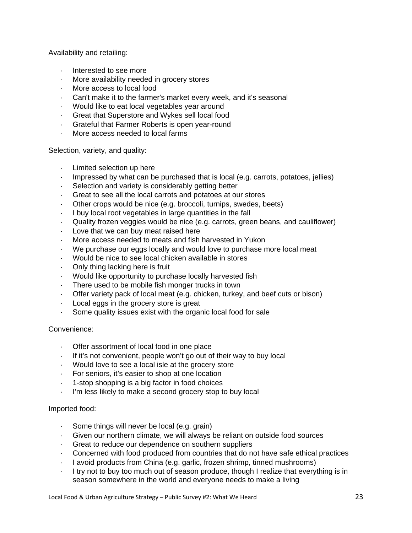Availability and retailing:

- Interested to see more
- More availability needed in grocery stores
- More access to local food
- Can't make it to the farmer's market every week, and it's seasonal
- Would like to eat local vegetables year around
- Great that Superstore and Wykes sell local food
- Grateful that Farmer Roberts is open year-round
- More access needed to local farms

Selection, variety, and quality:

- Limited selection up here
- Impressed by what can be purchased that is local (e.g. carrots, potatoes, jellies)
- Selection and variety is considerably getting better
- Great to see all the local carrots and potatoes at our stores
- Other crops would be nice (e.g. broccoli, turnips, swedes, beets)
- I buy local root vegetables in large quantities in the fall
- Quality frozen veggies would be nice (e.g. carrots, green beans, and cauliflower)
- Love that we can buy meat raised here
- More access needed to meats and fish harvested in Yukon
- We purchase our eggs locally and would love to purchase more local meat
- Would be nice to see local chicken available in stores
- Only thing lacking here is fruit
- Would like opportunity to purchase locally harvested fish
- There used to be mobile fish monger trucks in town
- Offer variety pack of local meat (e.g. chicken, turkey, and beef cuts or bison)
- Local eggs in the grocery store is great
- Some quality issues exist with the organic local food for sale

#### Convenience:

- Offer assortment of local food in one place
- If it's not convenient, people won't go out of their way to buy local
- Would love to see a local isle at the grocery store
- For seniors, it's easier to shop at one location
- 1-stop shopping is a big factor in food choices
- I'm less likely to make a second grocery stop to buy local

#### Imported food:

- Some things will never be local (e.g. grain)
- Given our northern climate, we will always be reliant on outside food sources
- Great to reduce our dependence on southern suppliers
- Concerned with food produced from countries that do not have safe ethical practices
- I avoid products from China (e.g. garlic, frozen shrimp, tinned mushrooms)
- I try not to buy too much out of season produce, though I realize that everything is in season somewhere in the world and everyone needs to make a living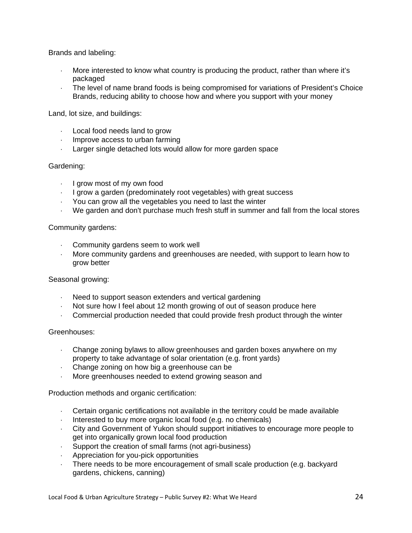Brands and labeling:

- More interested to know what country is producing the product, rather than where it's packaged
- The level of name brand foods is being compromised for variations of President's Choice Brands, reducing ability to choose how and where you support with your money

Land, lot size, and buildings:

- Local food needs land to grow
- $\cdot$  Improve access to urban farming
- Larger single detached lots would allow for more garden space

#### Gardening:

- $\cdot$  I grow most of my own food
- $\cdot$  I grow a garden (predominately root vegetables) with great success
- You can grow all the vegetables you need to last the winter
- We garden and don't purchase much fresh stuff in summer and fall from the local stores

#### Community gardens:

- Community gardens seem to work well
- More community gardens and greenhouses are needed, with support to learn how to grow better

#### Seasonal growing:

- Need to support season extenders and vertical gardening
- Not sure how I feel about 12 month growing of out of season produce here
- Commercial production needed that could provide fresh product through the winter

#### Greenhouses:

- Change zoning bylaws to allow greenhouses and garden boxes anywhere on my property to take advantage of solar orientation (e.g. front yards)
- Change zoning on how big a greenhouse can be
- More greenhouses needed to extend growing season and

Production methods and organic certification:

- Certain organic certifications not available in the territory could be made available
- Interested to buy more organic local food (e.g. no chemicals)
- City and Government of Yukon should support initiatives to encourage more people to get into organically grown local food production
- Support the creation of small farms (not agri-business)
- Appreciation for you-pick opportunities
- There needs to be more encouragement of small scale production (e.g. backyard gardens, chickens, canning)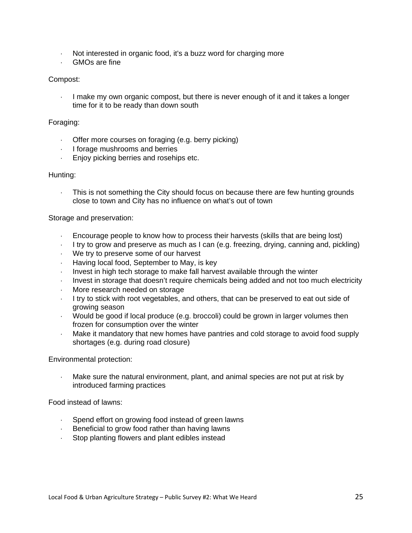- Not interested in organic food, it's a buzz word for charging more
- GMOs are fine

#### Compost:

I make my own organic compost, but there is never enough of it and it takes a longer time for it to be ready than down south

#### Foraging:

- Offer more courses on foraging (e.g. berry picking)
- $\cdot$  I forage mushrooms and berries
- Enjoy picking berries and rosehips etc.

#### Hunting:

 This is not something the City should focus on because there are few hunting grounds close to town and City has no influence on what's out of town

#### Storage and preservation:

- Encourage people to know how to process their harvests (skills that are being lost)
- I try to grow and preserve as much as I can (e.g. freezing, drying, canning and, pickling)
- We try to preserve some of our harvest
- Having local food, September to May, is key
- Invest in high tech storage to make fall harvest available through the winter
- Invest in storage that doesn't require chemicals being added and not too much electricity
- More research needed on storage
- I try to stick with root vegetables, and others, that can be preserved to eat out side of growing season
- Would be good if local produce (e.g. broccoli) could be grown in larger volumes then frozen for consumption over the winter
- Make it mandatory that new homes have pantries and cold storage to avoid food supply shortages (e.g. during road closure)

#### Environmental protection:

 Make sure the natural environment, plant, and animal species are not put at risk by introduced farming practices

Food instead of lawns:

- Spend effort on growing food instead of green lawns
- $\cdot$  Beneficial to grow food rather than having lawns
- Stop planting flowers and plant edibles instead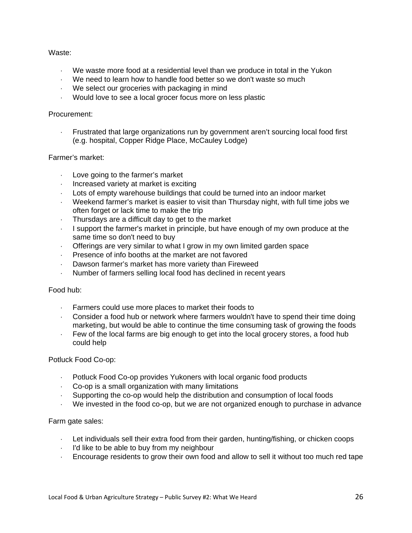#### Waste:

- We waste more food at a residential level than we produce in total in the Yukon
- We need to learn how to handle food better so we don't waste so much
- We select our groceries with packaging in mind
- Would love to see a local grocer focus more on less plastic

#### Procurement:

 Frustrated that large organizations run by government aren't sourcing local food first (e.g. hospital, Copper Ridge Place, McCauley Lodge)

#### Farmer's market:

- Love going to the farmer's market
- Increased variety at market is exciting
- Lots of empty warehouse buildings that could be turned into an indoor market
- Weekend farmer's market is easier to visit than Thursday night, with full time jobs we often forget or lack time to make the trip
- Thursdays are a difficult day to get to the market
- $\blacksquare$  I support the farmer's market in principle, but have enough of my own produce at the same time so don't need to buy
- Offerings are very similar to what I grow in my own limited garden space
- Presence of info booths at the market are not favored
- Dawson farmer's market has more variety than Fireweed
- Number of farmers selling local food has declined in recent years

#### Food hub:

- Farmers could use more places to market their foods to
- Consider a food hub or network where farmers wouldn't have to spend their time doing marketing, but would be able to continue the time consuming task of growing the foods
- Few of the local farms are big enough to get into the local grocery stores, a food hub could help

#### Potluck Food Co-op:

- Potluck Food Co-op provides Yukoners with local organic food products
- Co-op is a small organization with many limitations
- Supporting the co-op would help the distribution and consumption of local foods
- We invested in the food co-op, but we are not organized enough to purchase in advance

#### Farm gate sales:

- Let individuals sell their extra food from their garden, hunting/fishing, or chicken coops
- $\cdot$  I'd like to be able to buy from my neighbour
- Encourage residents to grow their own food and allow to sell it without too much red tape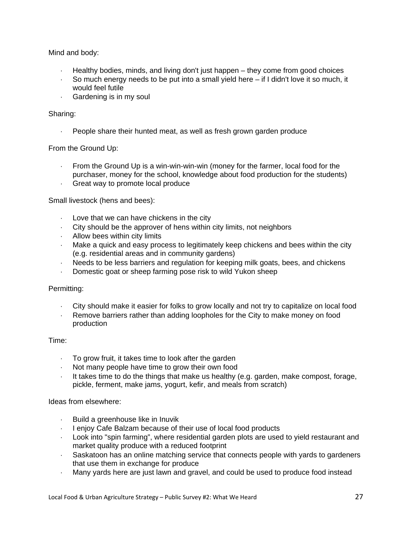Mind and body:

- Healthy bodies, minds, and living don't just happen they come from good choices
- So much energy needs to be put into a small yield here  $-$  if I didn't love it so much, it would feel futile
- Gardening is in my soul

## Sharing:

People share their hunted meat, as well as fresh grown garden produce

## From the Ground Up:

- From the Ground Up is a win-win-win-win (money for the farmer, local food for the purchaser, money for the school, knowledge about food production for the students)
- Great way to promote local produce

Small livestock (hens and bees):

- Love that we can have chickens in the city
- City should be the approver of hens within city limits, not neighbors
- Allow bees within city limits
- Make a quick and easy process to legitimately keep chickens and bees within the city (e.g. residential areas and in community gardens)
- Needs to be less barriers and regulation for keeping milk goats, bees, and chickens
- Domestic goat or sheep farming pose risk to wild Yukon sheep

## Permitting:

- City should make it easier for folks to grow locally and not try to capitalize on local food
- Remove barriers rather than adding loopholes for the City to make money on food production

## Time:

- To grow fruit, it takes time to look after the garden
- $\cdot$  Not many people have time to grow their own food
- It takes time to do the things that make us healthy (e.g. garden, make compost, forage, pickle, ferment, make jams, yogurt, kefir, and meals from scratch)

## Ideas from elsewhere:

- Build a greenhouse like in Inuvik
- I enjoy Cafe Balzam because of their use of local food products
- Look into "spin farming", where residential garden plots are used to yield restaurant and market quality produce with a reduced footprint
- Saskatoon has an online matching service that connects people with yards to gardeners that use them in exchange for produce
- Many yards here are just lawn and gravel, and could be used to produce food instead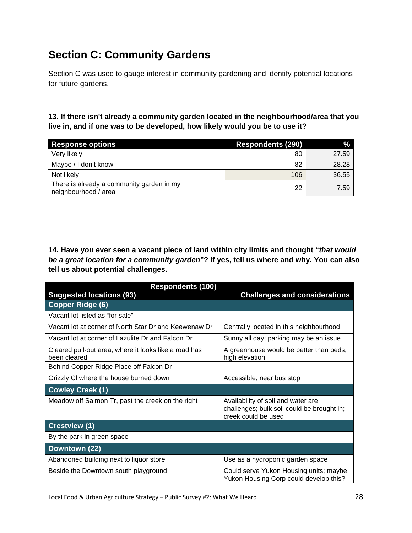# **Section C: Community Gardens**

Section C was used to gauge interest in community gardening and identify potential locations for future gardens.

**13. If there isn't already a community garden located in the neighbourhood/area that you live in, and if one was to be developed, how likely would you be to use it?** 

| <b>Response options</b>                                           | <b>Respondents (290)</b> | $\%$  |
|-------------------------------------------------------------------|--------------------------|-------|
| Very likely                                                       | 80                       | 27.59 |
| Maybe / I don't know                                              | 82                       | 28.28 |
| Not likely                                                        | 106                      | 36.55 |
| There is already a community garden in my<br>neighbourhood / area | 22                       | 7.59  |

**14. Have you ever seen a vacant piece of land within city limits and thought "***that would be a great location for a community garden***"? If yes, tell us where and why. You can also tell us about potential challenges.** 

| <b>Respondents (100)</b>                                              |                                                                                                         |
|-----------------------------------------------------------------------|---------------------------------------------------------------------------------------------------------|
| <b>Suggested locations (93)</b>                                       | <b>Challenges and considerations</b>                                                                    |
| <b>Copper Ridge (6)</b>                                               |                                                                                                         |
| Vacant lot listed as "for sale"                                       |                                                                                                         |
| Vacant lot at corner of North Star Dr and Keewenaw Dr                 | Centrally located in this neighbourhood                                                                 |
| Vacant lot at corner of Lazulite Dr and Falcon Dr                     | Sunny all day; parking may be an issue                                                                  |
| Cleared pull-out area, where it looks like a road has<br>been cleared | A greenhouse would be better than beds;<br>high elevation                                               |
| Behind Copper Ridge Place off Falcon Dr                               |                                                                                                         |
| Grizzly CI where the house burned down                                | Accessible; near bus stop                                                                               |
| <b>Cowley Creek (1)</b>                                               |                                                                                                         |
| Meadow off Salmon Tr, past the creek on the right                     | Availability of soil and water are<br>challenges; bulk soil could be brought in;<br>creek could be used |
| <b>Crestview (1)</b>                                                  |                                                                                                         |
| By the park in green space                                            |                                                                                                         |
| Downtown (22)                                                         |                                                                                                         |
| Abandoned building next to liquor store                               | Use as a hydroponic garden space                                                                        |
| Beside the Downtown south playground                                  | Could serve Yukon Housing units; maybe<br>Yukon Housing Corp could develop this?                        |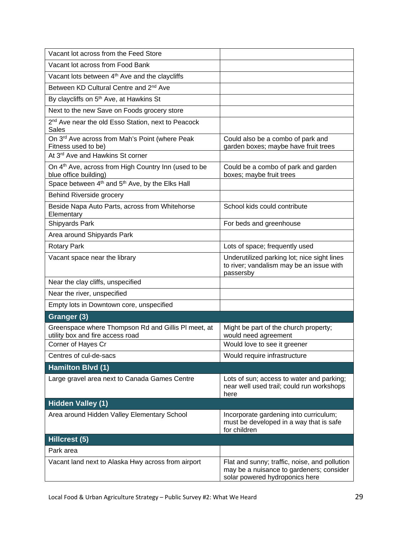| Vacant lot across from the Feed Store                                                     |                                                                                                                             |
|-------------------------------------------------------------------------------------------|-----------------------------------------------------------------------------------------------------------------------------|
| Vacant lot across from Food Bank                                                          |                                                                                                                             |
| Vacant lots between 4 <sup>th</sup> Ave and the claycliffs                                |                                                                                                                             |
| Between KD Cultural Centre and 2 <sup>nd</sup> Ave                                        |                                                                                                                             |
| By claycliffs on 5 <sup>th</sup> Ave, at Hawkins St                                       |                                                                                                                             |
| Next to the new Save on Foods grocery store                                               |                                                                                                                             |
| 2 <sup>nd</sup> Ave near the old Esso Station, next to Peacock<br><b>Sales</b>            |                                                                                                                             |
| On 3rd Ave across from Mah's Point (where Peak<br>Fitness used to be)                     | Could also be a combo of park and<br>garden boxes; maybe have fruit trees                                                   |
| At 3 <sup>rd</sup> Ave and Hawkins St corner                                              |                                                                                                                             |
| On 4 <sup>th</sup> Ave, across from High Country Inn (used to be<br>blue office building) | Could be a combo of park and garden<br>boxes; maybe fruit trees                                                             |
| Space between 4 <sup>th</sup> and 5 <sup>th</sup> Ave, by the Elks Hall                   |                                                                                                                             |
| Behind Riverside grocery                                                                  |                                                                                                                             |
| Beside Napa Auto Parts, across from Whitehorse<br>Elementary                              | School kids could contribute                                                                                                |
| Shipyards Park                                                                            | For beds and greenhouse                                                                                                     |
| Area around Shipyards Park                                                                |                                                                                                                             |
| <b>Rotary Park</b>                                                                        | Lots of space; frequently used                                                                                              |
| Vacant space near the library                                                             | Underutilized parking lot; nice sight lines<br>to river; vandalism may be an issue with<br>passersby                        |
| Near the clay cliffs, unspecified                                                         |                                                                                                                             |
| Near the river, unspecified                                                               |                                                                                                                             |
| Empty lots in Downtown core, unspecified                                                  |                                                                                                                             |
| Granger (3)                                                                               |                                                                                                                             |
| Greenspace where Thompson Rd and Gillis PI meet, at<br>utility box and fire access road   | Might be part of the church property;<br>would need agreement                                                               |
| Corner of Hayes Cr                                                                        | Would love to see it greener                                                                                                |
| Centres of cul-de-sacs                                                                    | Would require infrastructure                                                                                                |
| Hamilton Blvd (1)                                                                         |                                                                                                                             |
| Large gravel area next to Canada Games Centre                                             | Lots of sun; access to water and parking;<br>near well used trail; could run workshops<br>here                              |
| <b>Hidden Valley (1)</b>                                                                  |                                                                                                                             |
| Area around Hidden Valley Elementary School                                               | Incorporate gardening into curriculum;<br>must be developed in a way that is safe<br>for children                           |
| Hillcrest (5)                                                                             |                                                                                                                             |
| Park area                                                                                 |                                                                                                                             |
| Vacant land next to Alaska Hwy across from airport                                        | Flat and sunny; traffic, noise, and pollution<br>may be a nuisance to gardeners; consider<br>solar powered hydroponics here |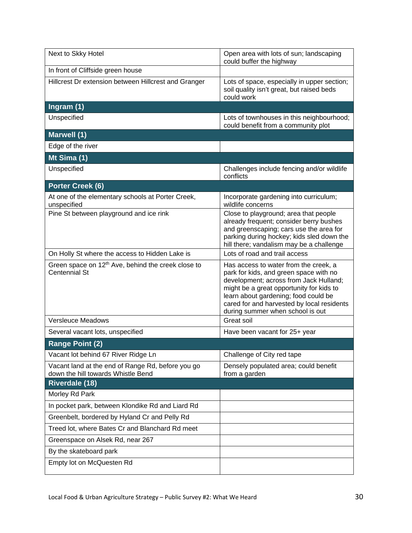| Next to Skky Hotel                                                                      | Open area with lots of sun; landscaping<br>could buffer the highway                                                                                                                                                                                                                             |
|-----------------------------------------------------------------------------------------|-------------------------------------------------------------------------------------------------------------------------------------------------------------------------------------------------------------------------------------------------------------------------------------------------|
| In front of Cliffside green house                                                       |                                                                                                                                                                                                                                                                                                 |
| Hillcrest Dr extension between Hillcrest and Granger                                    | Lots of space, especially in upper section;<br>soil quality isn't great, but raised beds<br>could work                                                                                                                                                                                          |
| Ingram (1)                                                                              |                                                                                                                                                                                                                                                                                                 |
| Unspecified                                                                             | Lots of townhouses in this neighbourhood;<br>could benefit from a community plot                                                                                                                                                                                                                |
| Marwell (1)                                                                             |                                                                                                                                                                                                                                                                                                 |
| Edge of the river                                                                       |                                                                                                                                                                                                                                                                                                 |
| Mt Sima $\overline{(1)}$                                                                |                                                                                                                                                                                                                                                                                                 |
| Unspecified                                                                             | Challenges include fencing and/or wildlife<br>conflicts                                                                                                                                                                                                                                         |
| Porter Creek (6)                                                                        |                                                                                                                                                                                                                                                                                                 |
| At one of the elementary schools at Porter Creek,<br>unspecified                        | Incorporate gardening into curriculum;<br>wildlife concerns                                                                                                                                                                                                                                     |
| Pine St between playground and ice rink                                                 | Close to playground; area that people<br>already frequent; consider berry bushes<br>and greenscaping; cars use the area for<br>parking during hockey; kids sled down the<br>hill there; vandalism may be a challenge                                                                            |
| On Holly St where the access to Hidden Lake is                                          | Lots of road and trail access                                                                                                                                                                                                                                                                   |
| Green space on 12 <sup>th</sup> Ave, behind the creek close to<br><b>Centennial St</b>  | Has access to water from the creek, a<br>park for kids, and green space with no<br>development; across from Jack Hulland;<br>might be a great opportunity for kids to<br>learn about gardening; food could be<br>cared for and harvested by local residents<br>during summer when school is out |
| <b>Versleuce Meadows</b>                                                                | Great soil                                                                                                                                                                                                                                                                                      |
| Several vacant lots, unspecified                                                        | Have been vacant for 25+ year                                                                                                                                                                                                                                                                   |
| <b>Range Point (2)</b>                                                                  |                                                                                                                                                                                                                                                                                                 |
| Vacant lot behind 67 River Ridge Ln                                                     | Challenge of City red tape                                                                                                                                                                                                                                                                      |
| Vacant land at the end of Range Rd, before you go<br>down the hill towards Whistle Bend | Densely populated area; could benefit<br>from a garden                                                                                                                                                                                                                                          |
| <b>Riverdale (18)</b>                                                                   |                                                                                                                                                                                                                                                                                                 |
| Morley Rd Park                                                                          |                                                                                                                                                                                                                                                                                                 |
| In pocket park, between Klondike Rd and Liard Rd                                        |                                                                                                                                                                                                                                                                                                 |
| Greenbelt, bordered by Hyland Cr and Pelly Rd                                           |                                                                                                                                                                                                                                                                                                 |
| Treed lot, where Bates Cr and Blanchard Rd meet                                         |                                                                                                                                                                                                                                                                                                 |
| Greenspace on Alsek Rd, near 267                                                        |                                                                                                                                                                                                                                                                                                 |
| By the skateboard park                                                                  |                                                                                                                                                                                                                                                                                                 |
| Empty lot on McQuesten Rd                                                               |                                                                                                                                                                                                                                                                                                 |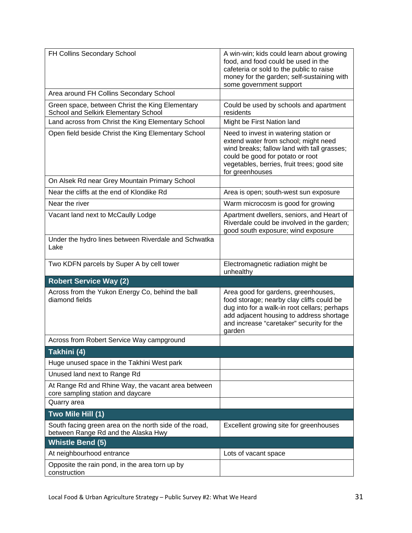| FH Collins Secondary School                                                                   | A win-win; kids could learn about growing<br>food, and food could be used in the<br>cafeteria or sold to the public to raise<br>money for the garden; self-sustaining with<br>some government support                               |
|-----------------------------------------------------------------------------------------------|-------------------------------------------------------------------------------------------------------------------------------------------------------------------------------------------------------------------------------------|
| Area around FH Collins Secondary School                                                       |                                                                                                                                                                                                                                     |
| Green space, between Christ the King Elementary<br>School and Selkirk Elementary School       | Could be used by schools and apartment<br>residents                                                                                                                                                                                 |
| Land across from Christ the King Elementary School                                            | Might be First Nation land                                                                                                                                                                                                          |
| Open field beside Christ the King Elementary School                                           | Need to invest in watering station or<br>extend water from school; might need<br>wind breaks; fallow land with tall grasses;<br>could be good for potato or root<br>vegetables, berries, fruit trees; good site<br>for greenhouses  |
| On Alsek Rd near Grey Mountain Primary School                                                 |                                                                                                                                                                                                                                     |
| Near the cliffs at the end of Klondike Rd                                                     | Area is open; south-west sun exposure                                                                                                                                                                                               |
| Near the river                                                                                | Warm microcosm is good for growing                                                                                                                                                                                                  |
| Vacant land next to McCaully Lodge                                                            | Apartment dwellers, seniors, and Heart of<br>Riverdale could be involved in the garden;<br>good south exposure; wind exposure                                                                                                       |
| Under the hydro lines between Riverdale and Schwatka<br>Lake                                  |                                                                                                                                                                                                                                     |
| Two KDFN parcels by Super A by cell tower                                                     | Electromagnetic radiation might be<br>unhealthy                                                                                                                                                                                     |
| <b>Robert Service Way (2)</b>                                                                 |                                                                                                                                                                                                                                     |
| Across from the Yukon Energy Co, behind the ball<br>diamond fields                            | Area good for gardens, greenhouses,<br>food storage; nearby clay cliffs could be<br>dug into for a walk-in root cellars; perhaps<br>add adjacent housing to address shortage<br>and increase "caretaker" security for the<br>garden |
| Across from Robert Service Way campground                                                     |                                                                                                                                                                                                                                     |
| Takhini (4)                                                                                   |                                                                                                                                                                                                                                     |
| Huge unused space in the Takhini West park                                                    |                                                                                                                                                                                                                                     |
| Unused land next to Range Rd                                                                  |                                                                                                                                                                                                                                     |
| At Range Rd and Rhine Way, the vacant area between<br>core sampling station and daycare       |                                                                                                                                                                                                                                     |
| Quarry area                                                                                   |                                                                                                                                                                                                                                     |
| Two Mile Hill (1)                                                                             |                                                                                                                                                                                                                                     |
| South facing green area on the north side of the road,<br>between Range Rd and the Alaska Hwy | Excellent growing site for greenhouses                                                                                                                                                                                              |
| <b>Whistle Bend (5)</b>                                                                       |                                                                                                                                                                                                                                     |
| At neighbourhood entrance                                                                     | Lots of vacant space                                                                                                                                                                                                                |
| Opposite the rain pond, in the area torn up by<br>construction                                |                                                                                                                                                                                                                                     |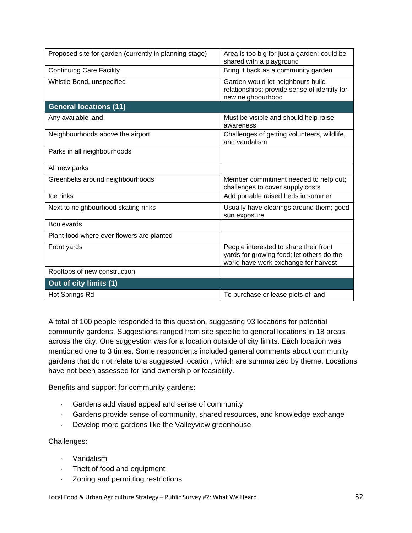| Proposed site for garden (currently in planning stage) | Area is too big for just a garden; could be<br>shared with a playground                                                     |
|--------------------------------------------------------|-----------------------------------------------------------------------------------------------------------------------------|
| <b>Continuing Care Facility</b>                        | Bring it back as a community garden                                                                                         |
| Whistle Bend, unspecified                              | Garden would let neighbours build<br>relationships; provide sense of identity for<br>new neighbourhood                      |
| <b>General locations (11)</b>                          |                                                                                                                             |
| Any available land                                     | Must be visible and should help raise<br>awareness                                                                          |
| Neighbourhoods above the airport                       | Challenges of getting volunteers, wildlife,<br>and vandalism                                                                |
| Parks in all neighbourhoods                            |                                                                                                                             |
| All new parks                                          |                                                                                                                             |
| Greenbelts around neighbourhoods                       | Member commitment needed to help out;<br>challenges to cover supply costs                                                   |
| Ice rinks                                              | Add portable raised beds in summer                                                                                          |
| Next to neighbourhood skating rinks                    | Usually have clearings around them; good<br>sun exposure                                                                    |
| <b>Boulevards</b>                                      |                                                                                                                             |
| Plant food where ever flowers are planted              |                                                                                                                             |
| Front yards                                            | People interested to share their front<br>yards for growing food; let others do the<br>work; have work exchange for harvest |
| Rooftops of new construction                           |                                                                                                                             |
| Out of city limits (1)                                 |                                                                                                                             |
| Hot Springs Rd                                         | To purchase or lease plots of land                                                                                          |

A total of 100 people responded to this question, suggesting 93 locations for potential community gardens. Suggestions ranged from site specific to general locations in 18 areas across the city. One suggestion was for a location outside of city limits. Each location was mentioned one to 3 times. Some respondents included general comments about community gardens that do not relate to a suggested location, which are summarized by theme. Locations have not been assessed for land ownership or feasibility.

Benefits and support for community gardens:

- Gardens add visual appeal and sense of community
- Gardens provide sense of community, shared resources, and knowledge exchange
- Develop more gardens like the Valleyview greenhouse

## Challenges:

- Vandalism
- Theft of food and equipment
- Zoning and permitting restrictions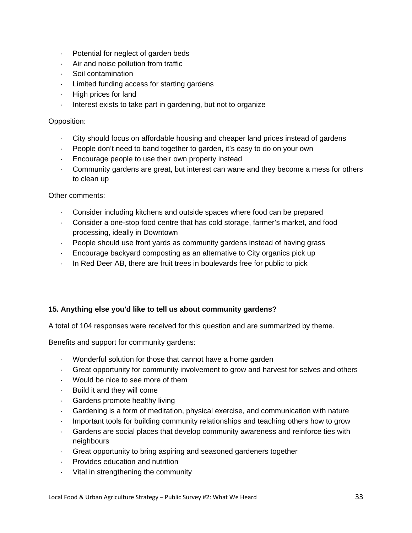- $\cdot$  Potential for neglect of garden beds
- Air and noise pollution from traffic
- Soil contamination
- Limited funding access for starting gardens
- $\cdot$  High prices for land
- Interest exists to take part in gardening, but not to organize

## Opposition:

- City should focus on affordable housing and cheaper land prices instead of gardens
- People don't need to band together to garden, it's easy to do on your own
- Encourage people to use their own property instead
- Community gardens are great, but interest can wane and they become a mess for others to clean up

#### Other comments:

- Consider including kitchens and outside spaces where food can be prepared
- Consider a one-stop food centre that has cold storage, farmer's market, and food processing, ideally in Downtown
- People should use front yards as community gardens instead of having grass
- Encourage backyard composting as an alternative to City organics pick up
- $\cdot$  In Red Deer AB, there are fruit trees in boulevards free for public to pick

## **15. Anything else you'd like to tell us about community gardens?**

A total of 104 responses were received for this question and are summarized by theme.

Benefits and support for community gardens:

- Wonderful solution for those that cannot have a home garden
- Great opportunity for community involvement to grow and harvest for selves and others
- Would be nice to see more of them
- $-Buid$  it and they will come
- Gardens promote healthy living
- Gardening is a form of meditation, physical exercise, and communication with nature
- Important tools for building community relationships and teaching others how to grow
- Gardens are social places that develop community awareness and reinforce ties with neighbours
- Great opportunity to bring aspiring and seasoned gardeners together
- Provides education and nutrition
- Vital in strengthening the community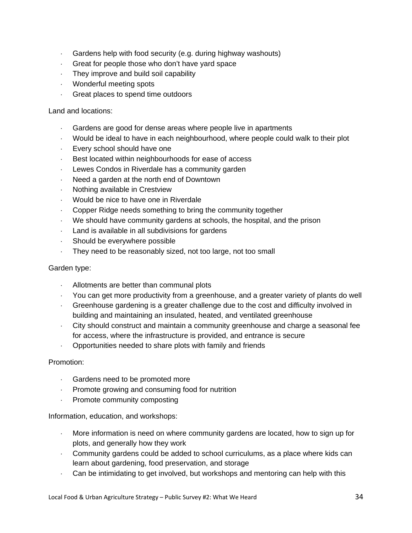- Gardens help with food security (e.g. during highway washouts)
- Great for people those who don't have yard space
- They improve and build soil capability
- Wonderful meeting spots
- Great places to spend time outdoors

#### Land and locations:

- Gardens are good for dense areas where people live in apartments
- Would be ideal to have in each neighbourhood, where people could walk to their plot
- Every school should have one
- Best located within neighbourhoods for ease of access
- Lewes Condos in Riverdale has a community garden
- Need a garden at the north end of Downtown
- Nothing available in Crestview
- Would be nice to have one in Riverdale
- Copper Ridge needs something to bring the community together
- We should have community gardens at schools, the hospital, and the prison
- Land is available in all subdivisions for gardens
- Should be everywhere possible
- They need to be reasonably sized, not too large, not too small

#### Garden type:

- Allotments are better than communal plots
- You can get more productivity from a greenhouse, and a greater variety of plants do well
- Greenhouse gardening is a greater challenge due to the cost and difficulty involved in building and maintaining an insulated, heated, and ventilated greenhouse
- City should construct and maintain a community greenhouse and charge a seasonal fee for access, where the infrastructure is provided, and entrance is secure
- Opportunities needed to share plots with family and friends

#### Promotion:

- Gardens need to be promoted more
- Promote growing and consuming food for nutrition
- Promote community composting

Information, education, and workshops:

- More information is need on where community gardens are located, how to sign up for plots, and generally how they work
- Community gardens could be added to school curriculums, as a place where kids can learn about gardening, food preservation, and storage
- Can be intimidating to get involved, but workshops and mentoring can help with this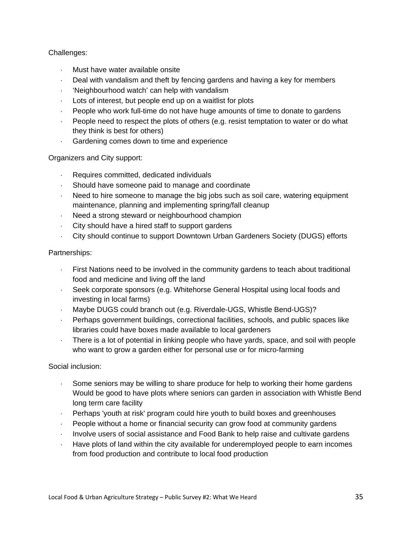## Challenges:

- Must have water available onsite
- Deal with vandalism and theft by fencing gardens and having a key for members
- 'Neighbourhood watch' can help with vandalism
- Lots of interest, but people end up on a waitlist for plots
- People who work full-time do not have huge amounts of time to donate to gardens
- People need to respect the plots of others (e.g. resist temptation to water or do what they think is best for others)
- Gardening comes down to time and experience

Organizers and City support:

- Requires committed, dedicated individuals
- Should have someone paid to manage and coordinate
- Need to hire someone to manage the big jobs such as soil care, watering equipment maintenance, planning and implementing spring/fall cleanup
- Need a strong steward or neighbourhood champion
- City should have a hired staff to support gardens
- City should continue to support Downtown Urban Gardeners Society (DUGS) efforts

## Partnerships:

- First Nations need to be involved in the community gardens to teach about traditional food and medicine and living off the land
- Seek corporate sponsors (e.g. Whitehorse General Hospital using local foods and investing in local farms)
- Maybe DUGS could branch out (e.g. Riverdale-UGS, Whistle Bend-UGS)?
- Perhaps government buildings, correctional facilities, schools, and public spaces like libraries could have boxes made available to local gardeners
- There is a lot of potential in linking people who have yards, space, and soil with people who want to grow a garden either for personal use or for micro-farming

Social inclusion:

- Some seniors may be willing to share produce for help to working their home gardens Would be good to have plots where seniors can garden in association with Whistle Bend long term care facility
- Perhaps 'youth at risk' program could hire youth to build boxes and greenhouses
- People without a home or financial security can grow food at community gardens
- Involve users of social assistance and Food Bank to help raise and cultivate gardens
- Have plots of land within the city available for underemployed people to earn incomes from food production and contribute to local food production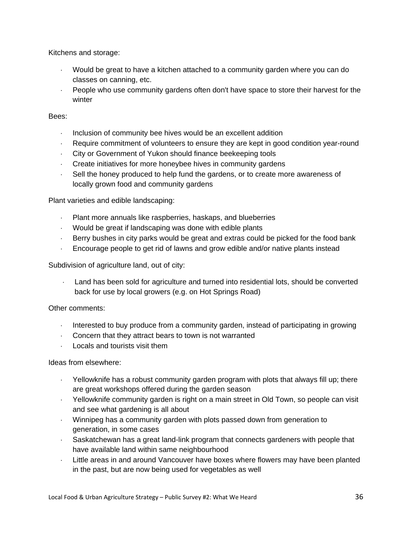Kitchens and storage:

- Would be great to have a kitchen attached to a community garden where you can do classes on canning, etc.
- People who use community gardens often don't have space to store their harvest for the winter

## Bees:

- Inclusion of community bee hives would be an excellent addition
- Require commitment of volunteers to ensure they are kept in good condition year-round
- City or Government of Yukon should finance beekeeping tools
- Create initiatives for more honeybee hives in community gardens
- Sell the honey produced to help fund the gardens, or to create more awareness of locally grown food and community gardens

Plant varieties and edible landscaping:

- Plant more annuals like raspberries, haskaps, and blueberries
- Would be great if landscaping was done with edible plants
- Berry bushes in city parks would be great and extras could be picked for the food bank
- Encourage people to get rid of lawns and grow edible and/or native plants instead

Subdivision of agriculture land, out of city:

 Land has been sold for agriculture and turned into residential lots, should be converted back for use by local growers (e.g. on Hot Springs Road)

Other comments:

- Interested to buy produce from a community garden, instead of participating in growing
- Concern that they attract bears to town is not warranted
- $\cdot$  Locals and tourists visit them

Ideas from elsewhere:

- Yellowknife has a robust community garden program with plots that always fill up; there are great workshops offered during the garden season
- Yellowknife community garden is right on a main street in Old Town, so people can visit and see what gardening is all about
- Winnipeg has a community garden with plots passed down from generation to generation, in some cases
- Saskatchewan has a great land-link program that connects gardeners with people that have available land within same neighbourhood
- Little areas in and around Vancouver have boxes where flowers may have been planted in the past, but are now being used for vegetables as well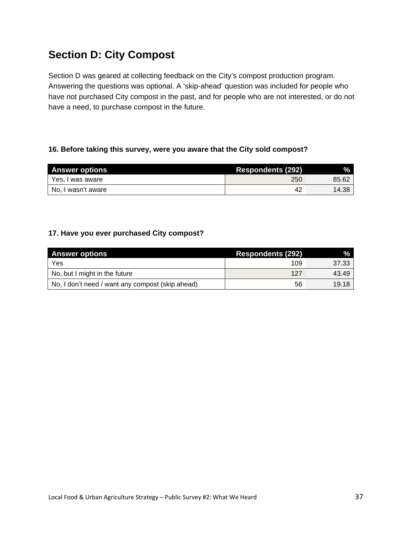# **Section D: City Compost**

Section D was geared at collecting feedback on the City's compost production program. Answering the questions was optional. A 'skip-ahead' question was included for people who have not purchased City compost in the past, and for people who are not interested, or do not have a need, to purchase compost in the future.

## **16. Before taking this survey, were you aware that the City sold compost?**

| <b>Answer options</b> | <b>Respondents (292)</b> | %.    |
|-----------------------|--------------------------|-------|
| Yes, I was aware      | 250                      | 85.62 |
| No, I wasn't aware    | 42                       | 14.38 |

## **17. Have you ever purchased City compost?**

| <b>Answer options</b>                            | <b>Respondents (292)</b> | $\%$  |
|--------------------------------------------------|--------------------------|-------|
| Yes                                              | 109                      | 37.33 |
| No, but I might in the future                    | 127                      | 43.49 |
| No, I don't need / want any compost (skip ahead) | 56                       | 19.18 |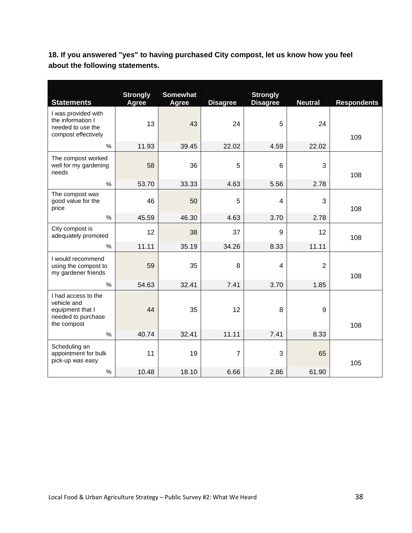**18. If you answered "yes" to having purchased City compost, let us know how you feel about the following statements.** 

| <b>Statements</b>                                                                           | <b>Strongly</b><br><b>Agree</b> | <b>Somewhat</b><br><b>Agree</b> | <b>Disagree</b> | <b>Strongly</b><br><b>Disagree</b> | <b>Neutral</b> | <b>Respondents</b> |
|---------------------------------------------------------------------------------------------|---------------------------------|---------------------------------|-----------------|------------------------------------|----------------|--------------------|
| I was provided with<br>the information I<br>needed to use the<br>compost effectively        | 13                              | 43                              | 24              | 5                                  | 24             | 109                |
| %                                                                                           | 11.93                           | 39.45                           | 22.02           | 4.59                               | 22.02          |                    |
| The compost worked<br>well for my gardening<br>needs                                        | 58                              | 36                              | 5               | 6                                  | 3              | 108                |
| $\%$                                                                                        | 53.70                           | 33.33                           | 4.63            | 5.56                               | 2.78           |                    |
| The compost was<br>good value for the<br>price                                              | 46                              | 50                              | 5               | 4                                  | 3              | 108                |
| %                                                                                           | 45.59                           | 46.30                           | 4.63            | 3.70                               | 2.78           |                    |
| City compost is<br>adequately promoted                                                      | 12                              | 38                              | 37              | 9                                  | 12             | 108                |
| %                                                                                           | 11.11                           | 35.19                           | 34.26           | 8.33                               | 11.11          |                    |
| I would recommend<br>using the compost to<br>my gardener friends                            | 59                              | 35                              | 8               | 4                                  | $\overline{2}$ | 108                |
| %                                                                                           | 54.63                           | 32.41                           | 7.41            | 3.70                               | 1.85           |                    |
| I had access to the<br>vehicle and<br>equipment that I<br>needed to purchase<br>the compost | 44                              | 35                              | 12              | 8                                  | 9              | 108                |
| $\frac{0}{0}$                                                                               | 40.74                           | 32.41                           | 11.11           | 7.41                               | 8.33           |                    |
| Scheduling an<br>appointment for bulk<br>pick-up was easy                                   | 11                              | 19                              | $\overline{7}$  | 3                                  | 65             | 105                |
| $\%$                                                                                        | 10.48                           | 18.10                           | 6.66            | 2.86                               | 61.90          |                    |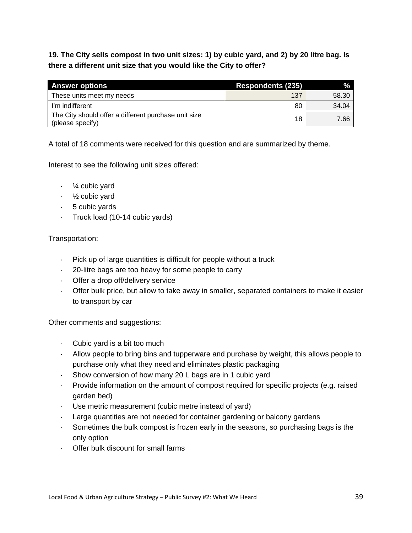**19. The City sells compost in two unit sizes: 1) by cubic yard, and 2) by 20 litre bag. Is there a different unit size that you would like the City to offer?** 

| <b>Answer options</b>                                                    | <b>Respondents (235)</b> |       |
|--------------------------------------------------------------------------|--------------------------|-------|
| These units meet my needs                                                | 137                      | 58.30 |
| I'm indifferent                                                          | 80                       | 34.04 |
| The City should offer a different purchase unit size<br>(please specify) | 18                       | 7.66  |

A total of 18 comments were received for this question and are summarized by theme.

Interest to see the following unit sizes offered:

- $\cdot$  /4 cubic yard
- $\cdot$  1/<sub>2</sub> cubic yard
- 5 cubic yards
- Truck load  $(10-14$  cubic yards)

#### Transportation:

- Pick up of large quantities is difficult for people without a truck
- 20-litre bags are too heavy for some people to carry
- Offer a drop off/delivery service
- Offer bulk price, but allow to take away in smaller, separated containers to make it easier to transport by car

Other comments and suggestions:

- Cubic yard is a bit too much
- Allow people to bring bins and tupperware and purchase by weight, this allows people to purchase only what they need and eliminates plastic packaging
- Show conversion of how many 20 L bags are in 1 cubic yard
- Provide information on the amount of compost required for specific projects (e.g. raised garden bed)
- Use metric measurement (cubic metre instead of yard)
- Large quantities are not needed for container gardening or balcony gardens
- Sometimes the bulk compost is frozen early in the seasons, so purchasing bags is the only option
- Offer bulk discount for small farms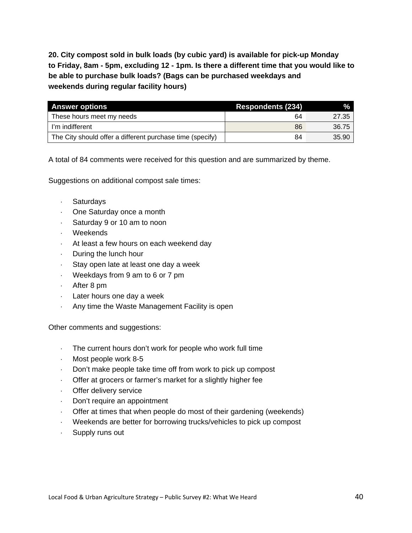**20. City compost sold in bulk loads (by cubic yard) is available for pick-up Monday to Friday, 8am - 5pm, excluding 12 - 1pm. Is there a different time that you would like to be able to purchase bulk loads? (Bags can be purchased weekdays and weekends during regular facility hours)** 

| <b>Answer options</b>                                     | <b>Respondents (234)</b> | $\frac{9}{6}$ |
|-----------------------------------------------------------|--------------------------|---------------|
| These hours meet my needs                                 | 64                       | 27.35         |
| I'm indifferent                                           | 86                       | 36.75         |
| The City should offer a different purchase time (specify) | 84                       | 35.90         |

A total of 84 comments were received for this question and are summarized by theme.

Suggestions on additional compost sale times:

- Saturdays
- One Saturday once a month
- Saturday 9 or 10 am to noon
- Weekends
- At least a few hours on each weekend day
- $\cdot$  During the lunch hour
- Stay open late at least one day a week
- Weekdays from 9 am to 6 or 7 pm
- After 8 pm
- Later hours one day a week
- Any time the Waste Management Facility is open

Other comments and suggestions:

- The current hours don't work for people who work full time
- Most people work 8-5
- Don't make people take time off from work to pick up compost
- Offer at grocers or farmer's market for a slightly higher fee
- Offer delivery service
- Don't require an appointment
- Offer at times that when people do most of their gardening (weekends)
- Weekends are better for borrowing trucks/vehicles to pick up compost
- Supply runs out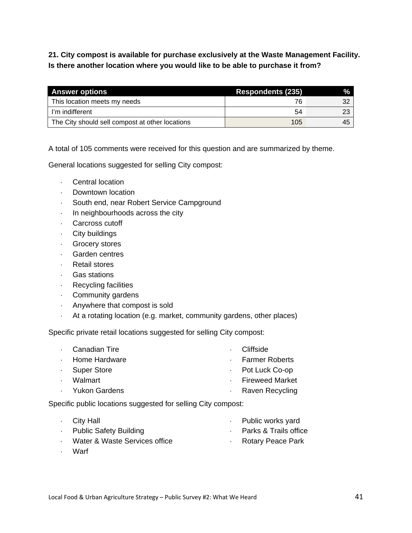**21. City compost is available for purchase exclusively at the Waste Management Facility. Is there another location where you would like to be able to purchase it from?** 

| <b>Answer options</b>                           | <b>Respondents (235)</b> |    |
|-------------------------------------------------|--------------------------|----|
| This location meets my needs                    |                          | 32 |
| I'm indifferent                                 | 54                       | 23 |
| The City should sell compost at other locations | 105                      | 45 |

A total of 105 comments were received for this question and are summarized by theme.

General locations suggested for selling City compost:

- Central location
- Downtown location
- South end, near Robert Service Campground
- $\cdot$  In neighbourhoods across the city
- Carcross cutoff
- City buildings
- Grocery stores
- Garden centres
- Retail stores
- Gas stations
- Recycling facilities
- Community gardens
- Anywhere that compost is sold
- At a rotating location (e.g. market, community gardens, other places)

Specific private retail locations suggested for selling City compost:

|        | Canadian Tire   | . Cliffside            |
|--------|-----------------|------------------------|
|        | · Home Hardware | · Farmer Roberts       |
|        | · Super Store   | $\cdot$ Pot Luck Co-op |
| $\sim$ | Walmart         | · Fireweed Market      |
|        | · Yukon Gardens | · Raven Recycling      |
|        |                 |                        |

Specific public locations suggested for selling City compost:

| $\cdot$ City Hall             | · Public works yard     |
|-------------------------------|-------------------------|
| • Public Safety Building      | · Parks & Trails office |
| Water & Waste Services office | Rotary Peace Park       |

Warf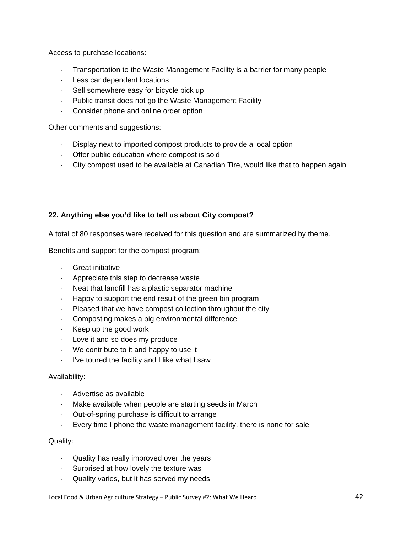Access to purchase locations:

- Transportation to the Waste Management Facility is a barrier for many people
- Less car dependent locations
- $\cdot$  Sell somewhere easy for bicycle pick up
- Public transit does not go the Waste Management Facility
- Consider phone and online order option

Other comments and suggestions:

- Display next to imported compost products to provide a local option
- Offer public education where compost is sold
- City compost used to be available at Canadian Tire, would like that to happen again

## **22. Anything else you'd like to tell us about City compost?**

A total of 80 responses were received for this question and are summarized by theme.

Benefits and support for the compost program:

- Great initiative
- Appreciate this step to decrease waste
- Neat that landfill has a plastic separator machine
- Happy to support the end result of the green bin program
- Pleased that we have compost collection throughout the city
- Composting makes a big environmental difference
- $\cdot$  Keep up the good work
- $\cdot$  Love it and so does my produce
- We contribute to it and happy to use it
- I've toured the facility and I like what I saw

#### Availability:

- Advertise as available
- Make available when people are starting seeds in March
- Out-of-spring purchase is difficult to arrange
- Every time I phone the waste management facility, there is none for sale

#### Quality:

- Quality has really improved over the years
- Surprised at how lovely the texture was
- Quality varies, but it has served my needs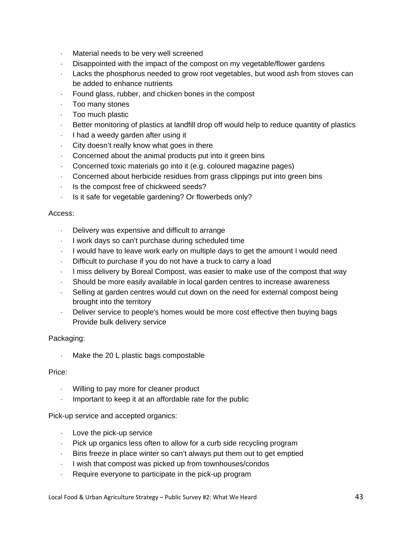- Material needs to be very well screened
- Disappointed with the impact of the compost on my vegetable/flower gardens
- Lacks the phosphorus needed to grow root vegetables, but wood ash from stoves can be added to enhance nutrients
- Found glass, rubber, and chicken bones in the compost
- Too many stones
- Too much plastic
- Better monitoring of plastics at landfill drop off would help to reduce quantity of plastics
- I had a weedy garden after using it
- City doesn't really know what goes in there
- Concerned about the animal products put into it green bins
- Concerned toxic materials go into it (e.g. coloured magazine pages)
- Concerned about herbicide residues from grass clippings put into green bins
- Is the compost free of chickweed seeds?
- $\cdot$  Is it safe for vegetable gardening? Or flowerbeds only?

#### Access:

- Delivery was expensive and difficult to arrange
- I work days so can't purchase during scheduled time
- I would have to leave work early on multiple days to get the amount I would need
- Difficult to purchase if you do not have a truck to carry a load
- I miss delivery by Boreal Compost, was easier to make use of the compost that way
- Should be more easily available in local garden centres to increase awareness
- Selling at garden centres would cut down on the need for external compost being brought into the territory
- Deliver service to people's homes would be more cost effective then buying bags Provide bulk delivery service

## Packaging:

Make the 20 L plastic bags compostable

#### Price:

- Willing to pay more for cleaner product
- Important to keep it at an affordable rate for the public

Pick-up service and accepted organics:

- Love the pick-up service
- Pick up organics less often to allow for a curb side recycling program
- Bins freeze in place winter so can't always put them out to get emptied
- I wish that compost was picked up from townhouses/condos
- Require everyone to participate in the pick-up program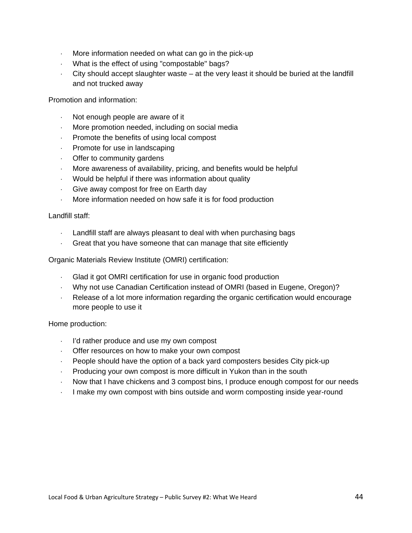- $\cdot$  More information needed on what can go in the pick-up
- What is the effect of using "compostable" bags?
- City should accept slaughter waste at the very least it should be buried at the landfill and not trucked away

Promotion and information:

- $\cdot$  Not enough people are aware of it
- More promotion needed, including on social media
- Promote the benefits of using local compost
- **Promote for use in landscaping**
- Offer to community gardens
- More awareness of availability, pricing, and benefits would be helpful
- Would be helpful if there was information about quality
- Give away compost for free on Earth day
- More information needed on how safe it is for food production

Landfill staff:

- Landfill staff are always pleasant to deal with when purchasing bags
- Great that you have someone that can manage that site efficiently

Organic Materials Review Institute (OMRI) certification:

- Glad it got OMRI certification for use in organic food production
- Why not use Canadian Certification instead of OMRI (based in Eugene, Oregon)?
- Release of a lot more information regarding the organic certification would encourage more people to use it

Home production:

- I'd rather produce and use my own compost
- Offer resources on how to make your own compost
- People should have the option of a back yard composters besides City pick-up
- Producing your own compost is more difficult in Yukon than in the south
- Now that I have chickens and 3 compost bins, I produce enough compost for our needs
- I make my own compost with bins outside and worm composting inside year-round